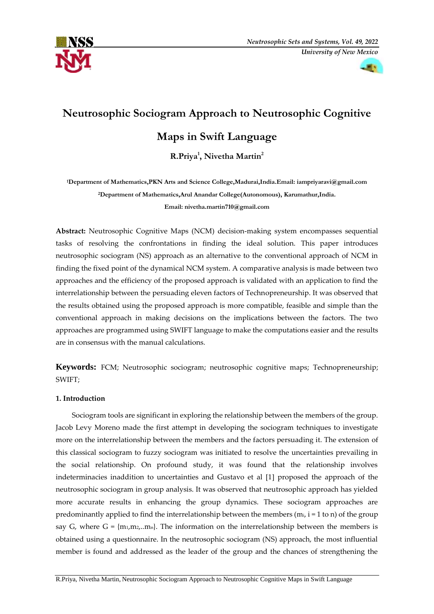



# **Neutrosophic Sociogram Approach to Neutrosophic Cognitive**

# **Maps in Swift Language**

**R.Priya<sup>1</sup> , Nivetha Martin<sup>2</sup>**

**<sup>1</sup>Department of Mathematics,PKN Arts and Science College,Madurai,India.Email: iampriyaravi@gmail.com <sup>2</sup>Department of Mathematics,Arul Anandar College(Autonomous), Karumathur,India. Email: nivetha.martin710@gmail.com**

**Abstract:** Neutrosophic Cognitive Maps (NCM) decision-making system encompasses sequential tasks of resolving the confrontations in finding the ideal solution. This paper introduces neutrosophic sociogram (NS) approach as an alternative to the conventional approach of NCM in finding the fixed point of the dynamical NCM system. A comparative analysis is made between two approaches and the efficiency of the proposed approach is validated with an application to find the interrelationship between the persuading eleven factors of Technopreneurship. It was observed that the results obtained using the proposed approach is more compatible, feasible and simple than the conventional approach in making decisions on the implications between the factors. The two approaches are programmed using SWIFT language to make the computations easier and the results are in consensus with the manual calculations.

**Keywords:** FCM; Neutrosophic sociogram; neutrosophic cognitive maps; Technopreneurship; SWIFT;

## **1. Introduction**

 Sociogram tools are significant in exploring the relationship between the members of the group. Jacob Levy Moreno made the first attempt in developing the sociogram techniques to investigate more on the interrelationship between the members and the factors persuading it. The extension of this classical sociogram to fuzzy sociogram was initiated to resolve the uncertainties prevailing in the social relationship. On profound study, it was found that the relationship involves indeterminacies inaddition to uncertainties and Gustavo et al [1] proposed the approach of the neutrosophic sociogram in group analysis. It was observed that neutrosophic approach has yielded more accurate results in enhancing the group dynamics. These sociogram approaches are predominantly applied to find the interrelationship between the members ( $m_i$ ,  $i = 1$  to n) of the group say G, where  $G = \{m_1, m_2, \ldots, m_n\}$ . The information on the interrelationship between the members is obtained using a questionnaire. In the neutrosophic sociogram (NS) approach, the most influential member is found and addressed as the leader of the group and the chances of strengthening the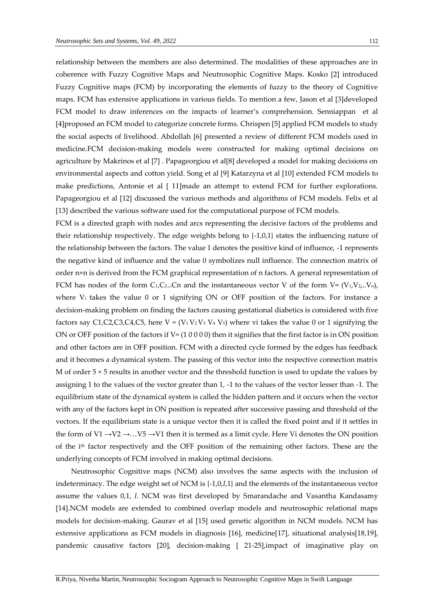relationship between the members are also determined. The modalities of these approaches are in coherence with Fuzzy Cognitive Maps and Neutrosophic Cognitive Maps. Kosko [2] introduced Fuzzy Cognitive maps (FCM) by incorporating the elements of fuzzy to the theory of Cognitive maps. FCM has extensive applications in various fields. To mention a few, Jason et al [3]developed FCM model to draw inferences on the impacts of learner's comprehension. Senniappan et al [4]proposed an FCM model to categorize concrete forms. Chrispen [5] applied FCM models to study the social aspects of livelihood. Abdollah [6] presented a review of different FCM models used in medicine.FCM decision-making models were constructed for making optimal decisions on agriculture by Makrinos et al [7] . Papageorgiou et al[8] developed a model for making decisions on environmental aspects and cotton yield. Song et al [9] Katarzyna et al [10] extended FCM models to make predictions, Antonie et al [ 11]made an attempt to extend FCM for further explorations. Papageorgiou et al [12] discussed the various methods and algorithms of FCM models. Felix et al [13] described the various software used for the computational purpose of FCM models.

FCM is a directed graph with nodes and arcs representing the decisive factors of the problems and their relationship respectively. The edge weights belong to {-1,0,1} states the influencing nature of the relationship between the factors. The value 1 denotes the positive kind of influence, -1 represents the negative kind of influence and the value 0 symbolizes null influence. The connection matrix of order n×n is derived from the FCM graphical representation of n factors. A general representation of FCM has nodes of the form C<sub>1</sub>,C<sub>2</sub>...Cn and the instantaneous vector V of the form V= (V<sub>1</sub>,V<sub>2</sub>,..V<sub>n</sub>), where V<sup>i</sup> takes the value 0 or 1 signifying ON or OFF position of the factors. For instance a decision-making problem on finding the factors causing gestational diabetics is considered with five factors say C1,C2,C3,C4,C5, here  $V = (V_1 V_2 V_3 V_4 V_5)$  where vi takes the value 0 or 1 signifying the ON or OFF position of the factors if  $V = (1 0 0 0 0)$  then it signifies that the first factor is in ON position and other factors are in OFF position. FCM with a directed cycle formed by the edges has feedback and it becomes a dynamical system. The passing of this vector into the respective connection matrix M of order  $5 \times 5$  results in another vector and the threshold function is used to update the values by assigning 1 to the values of the vector greater than 1, -1 to the values of the vector lesser than -1. The equilibrium state of the dynamical system is called the hidden pattern and it occurs when the vector with any of the factors kept in ON position is repeated after successive passing and threshold of the vectors. If the equilibrium state is a unique vector then it is called the fixed point and if it settles in the form of V1  $\rightarrow$  V2  $\rightarrow$  ... V5  $\rightarrow$  V1 then it is termed as a limit cycle. Here Vi denotes the ON position of the ith factor respectively and the OFF position of the remaining other factors. These are the underlying concepts of FCM involved in making optimal decisions.

Neutrosophic Cognitive maps (NCM) also involves the same aspects with the inclusion of indeterminacy. The edge weight set of NCM is {-1,0,*I*,1} and the elements of the instantaneous vector assume the values 0,1, *I.* NCM was first developed by Smarandache and Vasantha Kandasamy [14].NCM models are extended to combined overlap models and neutrosophic relational maps models for decision-making. Gaurav et al [15] used genetic algorithm in NCM models. NCM has extensive applications as FCM models in diagnosis [16], medicine[17], situational analysis[18,19], pandemic causative factors [20], decision-making [ 21-25],impact of imaginative play on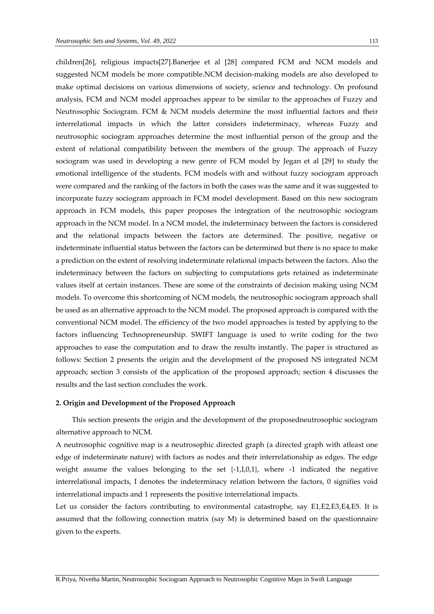children[26], religious impacts[27].Banerjee et al [28] compared FCM and NCM models and suggested NCM models be more compatible.NCM decision-making models are also developed to make optimal decisions on various dimensions of society, science and technology. On profound analysis, FCM and NCM model approaches appear to be similar to the approaches of Fuzzy and Neutrosophic Sociogram. FCM & NCM models determine the most influential factors and their interrelational impacts in which the latter considers indeterminacy, whereas Fuzzy and neutrosophic sociogram approaches determine the most influential person of the group and the extent of relational compatibility between the members of the group. The approach of Fuzzy sociogram was used in developing a new genre of FCM model by Jegan et al [29] to study the emotional intelligence of the students. FCM models with and without fuzzy sociogram approach were compared and the ranking of the factors in both the cases was the same and it was suggested to incorporate fuzzy sociogram approach in FCM model development. Based on this new sociogram approach in FCM models, this paper proposes the integration of the neutrosophic sociogram approach in the NCM model. In a NCM model, the indeterminacy between the factors is considered and the relational impacts between the factors are determined. The positive, negative or indeterminate influential status between the factors can be determined but there is no space to make a prediction on the extent of resolving indeterminate relational impacts between the factors. Also the indeterminacy between the factors on subjecting to computations gets retained as indeterminate values itself at certain instances. These are some of the constraints of decision making using NCM models. To overcome this shortcoming of NCM models, the neutrosophic sociogram approach shall be used as an alternative approach to the NCM model. The proposed approach is compared with the conventional NCM model. The efficiency of the two model approaches is tested by applying to the factors influencing Technopreneurship. SWIFT language is used to write coding for the two approaches to ease the computation and to draw the results instantly. The paper is structured as follows: Section 2 presents the origin and the development of the proposed NS integrated NCM approach; section 3 consists of the application of the proposed approach; section 4 discusses the results and the last section concludes the work.

#### **2. Origin and Development of the Proposed Approach**

 This section presents the origin and the development of the proposedneutrosophic sociogram alternative approach to NCM.

A neutrosophic cognitive map is a neutrosophic directed graph (a directed graph with atleast one edge of indeterminate nature) with factors as nodes and their interrelationship as edges. The edge weight assume the values belonging to the set  $\{-1,1,0,1\}$ , where  $-1$  indicated the negative interrelational impacts, I denotes the indeterminacy relation between the factors, 0 signifies void interrelational impacts and 1 represents the positive interrelational impacts.

Let us consider the factors contributing to environmental catastrophe, say E1, E2, E3, E4, E5. It is assumed that the following connection matrix (say M) is determined based on the questionnaire given to the experts.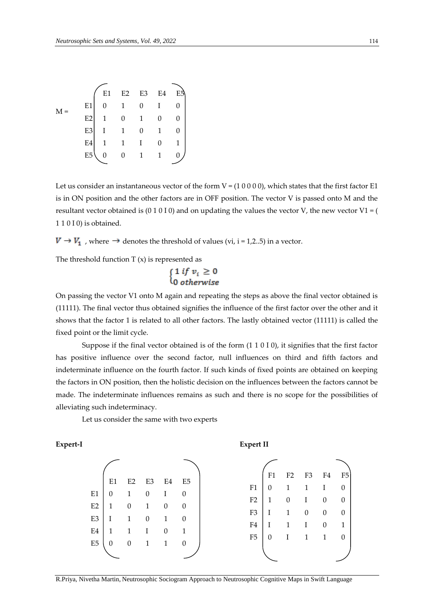|       |                | $\rm E1$ | E2 | E <sub>3</sub> | E4 | E5)            |
|-------|----------------|----------|----|----------------|----|----------------|
| $M =$ | E <sub>1</sub> |          |    |                |    | $\overline{0}$ |
|       | E2             |          |    | 1              |    | 0              |
|       | E <sub>3</sub> |          |    |                |    | 0              |
|       | E4             |          |    |                |    | $\mathbf{1}$   |
|       | E <sub>5</sub> |          |    |                |    |                |
|       |                |          |    |                |    |                |

Let us consider an instantaneous vector of the form  $V = (1 0 0 0 0)$ , which states that the first factor E1 is in ON position and the other factors are in OFF position. The vector V is passed onto M and the resultant vector obtained is  $(0 1 0 1 0)$  and on updating the values the vector V, the new vector V1 =  $($ 1 1 0 I 0) is obtained.

 $V\rightarrow V_1$  , where  $\rightarrow$  denotes the threshold of values (vi, i = 1,2..5) in a vector.

The threshold function  $T(x)$  is represented as

$$
\begin{cases} 1 \text{ if } v_i \ge 0 \\ 0 \text{ otherwise} \end{cases}
$$

On passing the vector V1 onto M again and repeating the steps as above the final vector obtained is (11111). The final vector thus obtained signifies the influence of the first factor over the other and it shows that the factor 1 is related to all other factors. The lastly obtained vector (11111) is called the fixed point or the limit cycle.

Suppose if the final vector obtained is of the form (1 1 0 I 0), it signifies that the first factor has positive influence over the second factor, null influences on third and fifth factors and indeterminate influence on the fourth factor. If such kinds of fixed points are obtained on keeping the factors in ON position, then the holistic decision on the influences between the factors cannot be made. The indeterminate influences remains as such and there is no scope for the possibilities of alleviating such indeterminacy.

Let us consider the same with two experts

**Expert-I Expert II**

| - Expert | Н |
|----------|---|
|----------|---|

|                |          |          |                |          |          |                | F1       | F <sub>2</sub> | F3           | F4       | F5               |
|----------------|----------|----------|----------------|----------|----------|----------------|----------|----------------|--------------|----------|------------------|
|                | E1       | E2       | E <sub>3</sub> | E4       | E5       | F1             | 0        | 1              | $\mathbf{1}$ | I        | 0                |
| E <sub>1</sub> | $\theta$ | 1        | 0              | Ι        | 0        |                |          |                |              |          |                  |
| E2             | 1        | $\theta$ | 1              | 0        | 0        | F2             | 1        | $\theta$       | Ι            | $\theta$ | 0                |
|                |          |          |                |          |          | F <sub>3</sub> | I        | 1              | $\theta$     | $\theta$ | $\boldsymbol{0}$ |
| E <sub>3</sub> |          | 1        | $\Omega$       | 1        | $\Omega$ | F4             | I        |                |              | $\theta$ | 1                |
| E4             | 1        | 1        |                | $\theta$ | 1        |                |          |                |              |          |                  |
|                |          |          |                |          |          | F <sub>5</sub> | $\theta$ |                | 1            | 1        | 0                |
| E <sub>5</sub> | $\theta$ | $\theta$ | 1              | 1        | 0        |                |          |                |              |          |                  |
|                |          |          |                |          |          |                |          |                |              |          |                  |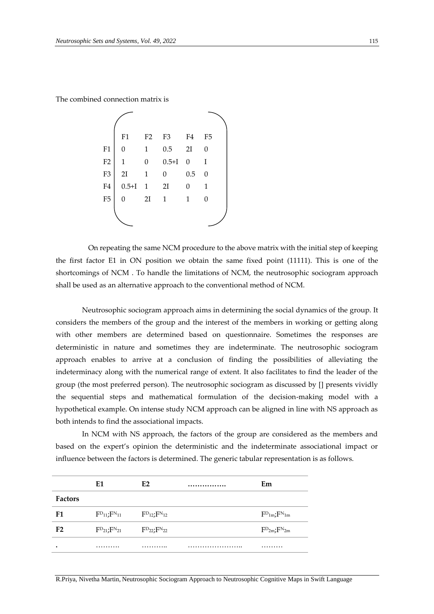|                | F1               | F <sub>2</sub> | F <sub>3</sub>   | F4               | F <sub>5</sub> |
|----------------|------------------|----------------|------------------|------------------|----------------|
| F1             | $\boldsymbol{0}$ | 1              | 0.5              | 2I               | $\theta$       |
| F2             | $\mathbf{1}$     | 0              | $0.5 + I$        | $\boldsymbol{0}$ | I              |
| F <sub>3</sub> | 2I               | $\mathbf{1}$   | $\boldsymbol{0}$ | 0.5              | $\overline{0}$ |
| F4             | $0.5 + I$        | $\mathbf{1}$   | 2I               | $\overline{0}$   | 1              |
| F <sub>5</sub> | 0                | 2I             | $\mathbf{1}$     | 1                | $\Omega$       |
|                |                  |                |                  |                  |                |
|                |                  |                |                  |                  |                |

The combined connection matrix is

 On repeating the same NCM procedure to the above matrix with the initial step of keeping the first factor E1 in ON position we obtain the same fixed point (11111). This is one of the shortcomings of NCM . To handle the limitations of NCM, the neutrosophic sociogram approach shall be used as an alternative approach to the conventional method of NCM.

Neutrosophic sociogram approach aims in determining the social dynamics of the group. It considers the members of the group and the interest of the members in working or getting along with other members are determined based on questionnaire. Sometimes the responses are deterministic in nature and sometimes they are indeterminate. The neutrosophic sociogram approach enables to arrive at a conclusion of finding the possibilities of alleviating the indeterminacy along with the numerical range of extent. It also facilitates to find the leader of the group (the most preferred person). The neutrosophic sociogram as discussed by [] presents vividly the sequential steps and mathematical formulation of the decision-making model with a hypothetical example. On intense study NCM approach can be aligned in line with NS approach as both intends to find the associational impacts.

In NCM with NS approach, the factors of the group are considered as the members and based on the expert's opinion the deterministic and the indeterminate associational impact or influence between the factors is determined. The generic tabular representation is as follows.

|                | E1                                  | E2                     | <br>Em                      |
|----------------|-------------------------------------|------------------------|-----------------------------|
| <b>Factors</b> |                                     |                        |                             |
| F1             | F <sub>011</sub> ; F <sub>N11</sub> | $F^{D_{12}}F^{N_{12}}$ | $F^{D_{1m}}$ ; $F^{N_{1m}}$ |
| F <sub>2</sub> | ${\rm F^{D_{21};F^{N_{21}}}}$       | $F^{D_{22}}F^{N_{22}}$ | $F^{D_{2m}}$ ; $F^{N_{2m}}$ |
| ٠              | .                                   | .                      | .                           |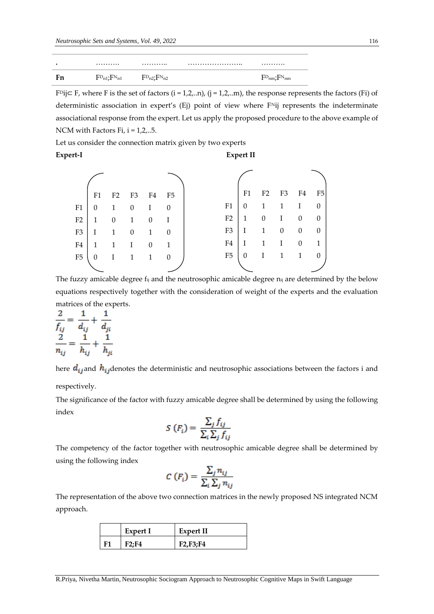| ٠ | . | . | <br>.                |
|---|---|---|----------------------|
|   |   |   | $F^{\nu_{nm}}$<br>nm |

F<sup>D</sup>ij⊂ F, where F is the set of factors (i = 1,2,..n), (j = 1,2,..m), the response represents the factors (Fi) of deterministic association in expert's  $(Ej)$  point of view where  $F^N ij$  represents the indeterminate associational response from the expert. Let us apply the proposed procedure to the above example of NCM with Factors Fi,  $i = 1, 2, ...5$ .

Let us consider the connection matrix given by two experts

#### **Expert-I Expert II**

|                | F1 | F <sub>2</sub> | F3       | F4 | F5       |    | F1 | F2 | F3 | F4       | F5       |
|----------------|----|----------------|----------|----|----------|----|----|----|----|----------|----------|
| F1             | 0  | 1              | $\Omega$ |    | $\Omega$ | F1 | 0  |    |    | Ι        | 0        |
| F <sub>2</sub> | 1  | $\Omega$       |          | 0  |          | F2 |    | 0  |    | $\Omega$ | $\Omega$ |
| F <sub>3</sub> | I  | 1              | $\Omega$ | 1  | 0        | F3 |    | 1  | 0  | $\theta$ | 0        |
| F4             | 1  |                |          | 0  | 1        | F4 |    |    |    | $\Omega$ |          |
| F <sub>5</sub> | 0  |                |          |    | 0        | F5 | 0  |    |    | 1        |          |
|                |    |                |          |    |          |    |    |    |    |          |          |

The fuzzy amicable degree f<sub>ij</sub> and the neutrosophic amicable degree n<sub>ij</sub> are determined by the below equations respectively together with the consideration of weight of the experts and the evaluation matrices of the experts.

$$
\frac{2}{f_{ij}} = \frac{1}{d_{ij}} + \frac{1}{d_{ji}}
$$

$$
\frac{2}{n_{ij}} = \frac{1}{h_{ij}} + \frac{1}{h_{ji}}
$$

here  $d_{ij}$  and  $h_{ij}$  denotes the deterministic and neutrosophic associations between the factors i and respectively.

The significance of the factor with fuzzy amicable degree shall be determined by using the following index

$$
S\left(F_{i}\right) = \frac{\sum_{j} f_{ij}}{\sum_{i} \sum_{j} f_{ij}}
$$

The competency of the factor together with neutrosophic amicable degree shall be determined by using the following index

$$
C\left(F_i\right) = \frac{\sum_j n_{ij}}{\sum_i \sum_j n_{ij}}
$$

The representation of the above two connection matrices in the newly proposed NS integrated NCM approach.

|    | Expert I | Expert II                                      |  |  |
|----|----------|------------------------------------------------|--|--|
| F1 | F2:FA    | F <sub>2</sub> ,F <sub>3</sub> ;F <sub>4</sub> |  |  |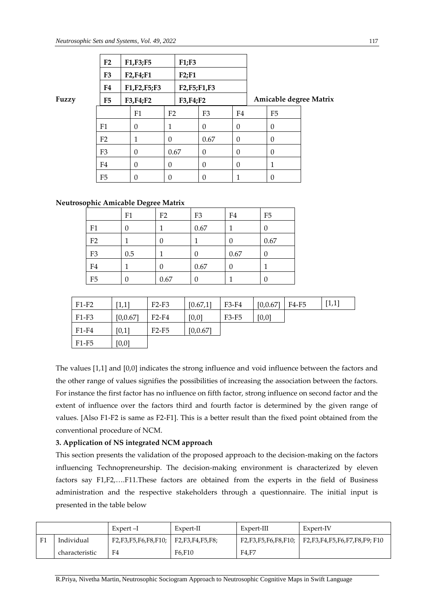|       | F2             | F1,F3;F5                                       |                  | F1;F3       |                |          |                  |                        |
|-------|----------------|------------------------------------------------|------------------|-------------|----------------|----------|------------------|------------------------|
|       | F <sub>3</sub> | F <sub>2</sub> ,F <sub>4</sub> ;F <sub>1</sub> |                  | F2;F1       |                |          |                  |                        |
|       | F4             | F1,F2,F5;F3                                    |                  | F2,F5;F1,F3 |                |          |                  |                        |
| Fuzzy | F <sub>5</sub> | F3,F4;F2                                       |                  | F3,F4;F2    |                |          |                  | Amicable degree Matrix |
|       |                | F1                                             | F <sub>2</sub>   |             | F <sub>3</sub> | F4       | F <sub>5</sub>   |                        |
|       | F1             | $\Omega$                                       | 1                |             | $\Omega$       | 0        | $\theta$         |                        |
|       | F <sub>2</sub> | 1                                              | $\theta$         |             | 0.67           | $\theta$ | $\theta$         |                        |
|       | F <sub>3</sub> | $\Omega$                                       | 0.67             |             | $\Omega$       | $\theta$ | $\theta$         |                        |
|       | F4             | $\Omega$                                       | $\theta$         |             | $\Omega$       | 0        | 1                |                        |
|       | F <sub>5</sub> | $\overline{0}$                                 | $\boldsymbol{0}$ |             |                |          | $\boldsymbol{0}$ |                        |

## **Neutrosophic Amicable Degree Matrix**

|                | F1  | F2   | F <sub>3</sub> | F4   | F <sub>5</sub> |
|----------------|-----|------|----------------|------|----------------|
| F1             | 0   |      | 0.67           |      | 0              |
| F2             |     | 0    |                | 0    | 0.67           |
| F <sub>3</sub> | 0.5 |      | 0              | 0.67 | 0              |
| F4             |     | 0    | 0.67           | 0    |                |
| F <sub>5</sub> | 0   | 0.67 | 0              |      | O              |

| F1-F2 | [1,1]     | $F2-F3$ | [0.67, 1] | $F3-F4$ | [0, 0.67] | F4-F5 | $[1,1]$ |
|-------|-----------|---------|-----------|---------|-----------|-------|---------|
| F1-F3 | [0, 0.67] | $F2-F4$ | [0,0]     | F3-F5   | [0,0]     |       |         |
| F1-F4 | [0,1]     | $F2-F5$ | [0, 0.67] |         |           |       |         |
| F1-F5 | $[0,0]$   |         |           |         |           |       |         |

The values [1,1] and [0,0] indicates the strong influence and void influence between the factors and the other range of values signifies the possibilities of increasing the association between the factors. For instance the first factor has no influence on fifth factor, strong influence on second factor and the extent of influence over the factors third and fourth factor is determined by the given range of values. [Also F1-F2 is same as F2-F1]. This is a better result than the fixed point obtained from the conventional procedure of NCM.

#### **3. Application of NS integrated NCM approach**

This section presents the validation of the proposed approach to the decision-making on the factors influencing Technopreneurship. The decision-making environment is characterized by eleven factors say F1,F2,….F11.These factors are obtained from the experts in the field of Business administration and the respective stakeholders through a questionnaire. The initial input is presented in the table below

|                | Expert-I                                             | Expert-II | Expert-III | Expert-IV                                        |
|----------------|------------------------------------------------------|-----------|------------|--------------------------------------------------|
| Individual     | $F2, F3, F5, F6, F8, F10; \vert F2, F3, F4, F5, F8;$ |           |            | F2,F3,F5,F6,F8,F10; F2,F3,F4,F5,F6,F7,F8,F9; F10 |
| characteristic | F4                                                   | F6.F10    | F4,F7      |                                                  |

R.Priya, Nivetha Martin, Neutrosophic Sociogram Approach to Neutrosophic Cognitive Maps in Swift Language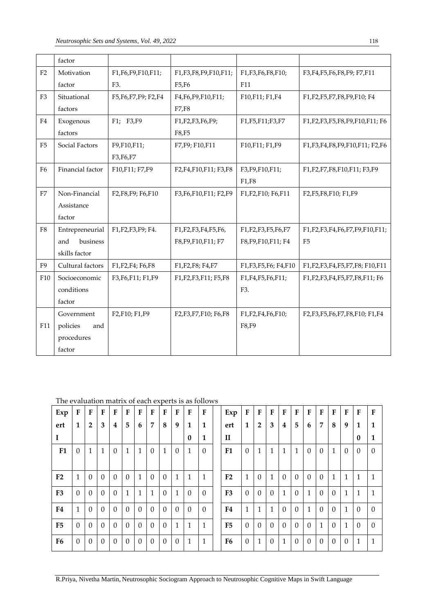|                | factor           |                        |                      |                      |                                      |
|----------------|------------------|------------------------|----------------------|----------------------|--------------------------------------|
| F2             | Motivation       | F1,F6,F9,F10,F11;      | F1,F3,F8,F9,F10,F11; | F1,F3,F6,F8,F10;     | F3, F4, F5, F6, F8, F9; F7, F11      |
|                | factor           | F3.                    | F5,F6                | F11                  |                                      |
| F <sub>3</sub> | Situational      | F5, F6, F7, F9; F2, F4 | F4,F6,F9,F10,F11;    | F10, F11; F1, F4     | F1,F2,F5,F7,F8,F9,F10; F4            |
|                | factors          |                        | F7,F8                |                      |                                      |
| F4             | Exogenous        | F1; F3,F9              | F1,F2,F3,F6,F9;      | F1,F5,F11;F3,F7      | F1,F2,F3,F5,F8,F9,F10,F11; F6        |
|                | factors          |                        | F8,F5                |                      |                                      |
| F <sub>5</sub> | Social Factors   | F9,F10,F11;            | F7, F9; F10, F11     | F10,F11; F1,F9       | F1, F3, F4, F8, F9, F10, F11; F2, F6 |
|                |                  | F3, F6, F7             |                      |                      |                                      |
| F <sub>6</sub> | Financial factor | F10,F11; F7,F9         | F2,F4,F10,F11; F3,F8 | F3,F9,F10,F11;       | F1,F2,F7,F8,F10,F11; F3,F9           |
|                |                  |                        |                      | F1,F8                |                                      |
| F7             | Non-Financial    | F2, F8, F9; F6, F10    | F3,F6,F10,F11; F2,F9 | F1, F2, F10; F6, F11 | F2,F5,F8,F10; F1,F9                  |
|                | Assistance       |                        |                      |                      |                                      |
|                | factor           |                        |                      |                      |                                      |
| ${\rm F}8$     | Entrepreneurial  | F1,F2,F3,F9; F4.       | F1,F2,F3,F4,F5,F6,   | F1,F2,F3,F5,F6,F7    | F1,F2,F3,F4,F6,F7,F9,F10,F11;        |
|                | business<br>and  |                        | F8,F9,F10,F11; F7    | F8,F9,F10,F11; F4    | F <sub>5</sub>                       |
|                | skills factor    |                        |                      |                      |                                      |
| F <sub>9</sub> | Cultural factors | F1, F2, F4; F6, F8     | F1, F2, F8; F4, F7   | F1,F3,F5,F6; F4,F10  | F1, F2, F3, F4, F5, F7, F8; F10, F11 |
| F10            | Socioeconomic    | F3, F6, F11; F1, F9    | F1,F2,F3,F11; F5,F8  | F1,F4,F5,F6,F11;     | F1,F2,F3,F4,F5,F7,F8,F11; F6         |
|                | conditions       |                        |                      | F3.                  |                                      |
|                | factor           |                        |                      |                      |                                      |
|                | Government       | F2,F10; F1,F9          | F2,F3,F7,F10; F6,F8  | F1,F2,F4,F6,F10;     | F2,F3,F5,F6,F7,F8,F10; F1,F4         |
| F11            | policies<br>and  |                        |                      | F8,F9                |                                      |
|                | procedures       |                        |                      |                      |                                      |
|                | factor           |                        |                      |                      |                                      |

#### The evaluation matrix of each experts is as follows

| Exp            | ${\bf F}$    | $\mathbf{F}$   | F        | F              | F        | $\mathbf{F}$ | F        | F        | $\mathbf{F}$ | F        | F            | Exp            | ${\bf F}$      | $\mathbf{F}$   | $\mathbf{F}$ | $\mathbf{F}$   | $\mathbf{F}$ | $\mathbf{F}$ | F        | F        | $\mathbf{F}$   | F            | $\mathbf{F}$ |
|----------------|--------------|----------------|----------|----------------|----------|--------------|----------|----------|--------------|----------|--------------|----------------|----------------|----------------|--------------|----------------|--------------|--------------|----------|----------|----------------|--------------|--------------|
| ert            | 1            | $\overline{2}$ | 3        | $\overline{4}$ | 5        | 6            | 7        | 8        | 9            | 1        | 1            | ert            | $\mathbf{1}$   | $\overline{2}$ | 3            | $\overline{4}$ | 5            | 6            | 7        | 8        | 9              | 1            | 1            |
| I              |              |                |          |                |          |              |          |          |              | $\bf{0}$ | 1            | H              |                |                |              |                |              |              |          |          |                | $\mathbf{0}$ | 1            |
| F1             | $\theta$     | 1              | 1        | $\Omega$       | 1        | 1            | $\Omega$ | 1        | $\theta$     | 1        | $\theta$     | F1             | $\overline{0}$ | 1              | 1            | $\mathbf{1}$   | 1            | $\Omega$     | $\Omega$ | 1        | $\overline{0}$ | $\theta$     | $\theta$     |
|                |              |                |          |                |          |              |          |          |              |          |              |                |                |                |              |                |              |              |          |          |                |              |              |
| F <sub>2</sub> | $\mathbf{1}$ | 0              | $\Omega$ | $\Omega$       | $\Omega$ | 1            | 0        | $\theta$ | 1            | 1        | 1            | F <sub>2</sub> | 1              | 0              | 1            | $\Omega$       | $\Omega$     | $\Omega$     | $\Omega$ | 1        | 1              | 1            | $\mathbf{1}$ |
| F <sub>3</sub> | $\Omega$     | 0              | $\Omega$ | $\Omega$       | 1        | 1            | 1        | 0        | 1            | $\theta$ | $\theta$     | F <sub>3</sub> | $\Omega$       | 0              | $\Omega$     | 1              | 0            | 1            | $\Omega$ | $\Omega$ | 1              | 1            | $\mathbf{1}$ |
| F4             | 1            | 0              | $\Omega$ | $\Omega$       | $\Omega$ | $\Omega$     | $\Omega$ | $\theta$ | $\Omega$     | $\Omega$ | $\Omega$     | F4             | 1              | 1              | 1            | $\Omega$       | 0            | 1            | $\Omega$ | $\Omega$ | 1              | $\Omega$     | $\Omega$     |
| F <sub>5</sub> | $\Omega$     | 0              | $\Omega$ | $\Omega$       | $\Omega$ | $\Omega$     | $\Omega$ | $\theta$ | 1            | 1        | $\mathbf{1}$ | F <sub>5</sub> | $\mathbf{0}$   | $\Omega$       | $\Omega$     | $\Omega$       | $\Omega$     | $\Omega$     | 1        | $\Omega$ | 1              | $\Omega$     | $\mathbf{0}$ |
| F6             | $\theta$     | 0              | $\Omega$ | $\Omega$       | $\Omega$ | $\Omega$     | $\Omega$ | $\theta$ | $\theta$     | 1        | 1            | F6             | $\theta$       | 1              | $\Omega$     | $\mathbf{1}$   | $\Omega$     | $\theta$     | $\Omega$ | $\Omega$ | $\Omega$       | 1            | 1            |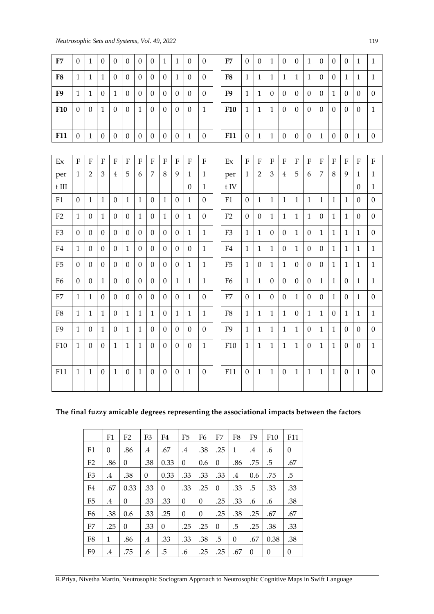| F7             | $\theta$         | $\mathbf{1}$   | $\Omega$     | $\boldsymbol{0}$ | $\Omega$         | $\boldsymbol{0}$ | $\mathbf{0}$     | 1              | 1                | $\boldsymbol{0}$ | $\theta$         | F7                     | $\boldsymbol{0}$ | $\Omega$         | $\mathbf{1}$   | $\theta$       | $\boldsymbol{0}$ | $\mathbf{1}$ | $\boldsymbol{0}$ | $\mathbf{0}$ | $\Omega$         | $\mathbf{1}$     | $\mathbf{1}$     |
|----------------|------------------|----------------|--------------|------------------|------------------|------------------|------------------|----------------|------------------|------------------|------------------|------------------------|------------------|------------------|----------------|----------------|------------------|--------------|------------------|--------------|------------------|------------------|------------------|
| F <sub>8</sub> | $\mathbf{1}$     | 1              | 1            | $\theta$         | $\mathbf{0}$     | $\theta$         | $\mathbf{0}$     | $\overline{0}$ | $\mathbf{1}$     | $\mathbf{0}$     | $\mathbf{0}$     | F <sub>8</sub>         | $\mathbf{1}$     | $\mathbf{1}$     | 1              | 1              | 1                | $\mathbf{1}$ | $\mathbf{0}$     | $\mathbf{0}$ | 1                | 1                | $\mathbf{1}$     |
| F <sub>9</sub> | $\mathbf{1}$     | $\mathbf{1}$   | $\mathbf{0}$ | $\mathbf{1}$     | $\boldsymbol{0}$ | $\mathbf{0}$     | $\mathbf{0}$     | $\mathbf{0}$   | $\theta$         | $\boldsymbol{0}$ | $\mathbf{0}$     | F <sub>9</sub>         | $\mathbf{1}$     | $\mathbf{1}$     | $\mathbf{0}$   | $\mathbf{0}$   | $\mathbf{0}$     | $\mathbf{0}$ | $\mathbf{0}$     | $\mathbf{1}$ | $\mathbf{0}$     | $\mathbf{0}$     | $\mathbf{0}$     |
| F10            | $\boldsymbol{0}$ | $\theta$       | 1            | $\mathbf{0}$     | $\mathbf{0}$     | $\mathbf{1}$     | $\mathbf{0}$     | $\overline{0}$ | $\Omega$         | $\mathbf{0}$     | $\mathbf{1}$     | F <sub>10</sub>        | $\mathbf{1}$     | $\mathbf{1}$     | $\mathbf{1}$   | $\overline{0}$ | $\Omega$         | $\theta$     | $\overline{0}$   | $\mathbf{0}$ | $\theta$         | $\Omega$         | $\mathbf{1}$     |
|                |                  |                |              |                  |                  |                  |                  |                |                  |                  |                  |                        |                  |                  |                |                |                  |              |                  |              |                  |                  |                  |
| F11            | $\mathbf{0}$     | $\mathbf{1}$   | $\mathbf{0}$ | $\mathbf{0}$     | $\mathbf{0}$     | $\mathbf{0}$     | $\mathbf{0}$     | $\mathbf{0}$   | $\mathbf{0}$     | $\mathbf{1}$     | $\boldsymbol{0}$ | <b>F11</b>             | $\mathbf{0}$     | $\mathbf{1}$     | $\mathbf{1}$   | $\mathbf{0}$   | $\mathbf{0}$     | $\mathbf{0}$ | $\mathbf{1}$     | $\mathbf{0}$ | $\boldsymbol{0}$ | $\mathbf{1}$     | $\boldsymbol{0}$ |
|                |                  |                |              |                  |                  |                  |                  |                |                  |                  |                  |                        |                  |                  |                |                |                  |              |                  |              |                  |                  |                  |
| Ex             | $\overline{F}$   | $\overline{F}$ | $\mathbf F$  | $\overline{F}$   | $\overline{F}$   | ${\bf F}$        | $\overline{F}$   | $\mathbf{F}$   | F                | $\overline{F}$   | ${\bf F}$        | $\mathop{\textrm{Ex}}$ | $\overline{F}$   | $\overline{F}$   | $\overline{F}$ | $\overline{F}$ | $\overline{F}$   | ${\bf F}$    | $\overline{F}$   | $\mathbf{F}$ | $\overline{F}$   | $F_{\rm}$        | $\rm F$          |
| per            | $\mathbf{1}$     | $\overline{2}$ | 3            | $\overline{4}$   | 5                | 6                | 7                | 8              | 9                | $\mathbf{1}$     | $\mathbf{1}$     | per                    | 1                | $\overline{2}$   | 3              | $\overline{4}$ | 5                | 6            | 7                | 8            | 9                | $\mathbf{1}$     | $\mathbf{1}$     |
| $t$ III        |                  |                |              |                  |                  |                  |                  |                |                  | $\theta$         | $\mathbf{1}$     | t IV                   |                  |                  |                |                |                  |              |                  |              |                  | $\Omega$         | $\mathbf{1}$     |
| F1             | $\boldsymbol{0}$ | $\mathbf{1}$   | 1            | $\boldsymbol{0}$ | $\mathbf{1}$     | $\mathbf{1}$     | $\mathbf{0}$     | 1              | $\boldsymbol{0}$ | $\mathbf{1}$     | $\boldsymbol{0}$ | F1                     | $\boldsymbol{0}$ | $\mathbf{1}$     | $\mathbf{1}$   | $\mathbf{1}$   | $\mathbf{1}$     | $\mathbf{1}$ | $\mathbf{1}$     | $\mathbf{1}$ | $\mathbf{1}$     | $\boldsymbol{0}$ | $\mathbf{0}$     |
| F2             | $\mathbf{1}$     | $\Omega$       | $\mathbf{1}$ | $\boldsymbol{0}$ | $\boldsymbol{0}$ | $\mathbf{1}$     | $\boldsymbol{0}$ | $\mathbf{1}$   | $\mathbf{0}$     | $\mathbf{1}$     | $\mathbf{0}$     | F2                     | $\mathbf{0}$     | $\boldsymbol{0}$ | $\mathbf{1}$   | $\mathbf{1}$   | $\mathbf{1}$     | $\mathbf{1}$ | $\mathbf{0}$     | $\mathbf{1}$ | $\mathbf{1}$     | $\theta$         | $\mathbf{0}$     |
| F <sub>3</sub> | $\mathbf{0}$     | $\mathbf{0}$   | $\theta$     | $\mathbf{0}$     | $\theta$         | $\mathbf{0}$     | $\mathbf{0}$     | $\overline{0}$ | $\theta$         | $\mathbf{1}$     | $\mathbf{1}$     | F <sub>3</sub>         | $\mathbf{1}$     | $\mathbf{1}$     | $\mathbf{0}$   | $\theta$       | $\mathbf{1}$     | $\mathbf{0}$ | $\mathbf{1}$     | $\mathbf{1}$ | $\mathbf{1}$     | $\mathbf{1}$     | $\mathbf{0}$     |
| ${\rm F4}$     | $\mathbf{1}$     | $\mathbf{0}$   | $\mathbf{0}$ | $\boldsymbol{0}$ | $\mathbf{1}$     | $\boldsymbol{0}$ | $\boldsymbol{0}$ | $\mathbf{0}$   | $\mathbf{0}$     | $\mathbf{0}$     | $\mathbf{1}$     | F4                     | $\mathbf{1}$     | $\mathbf{1}$     | $\mathbf{1}$   | $\mathbf{0}$   | $\mathbf{1}$     | $\mathbf{0}$ | $\mathbf{0}$     | $\mathbf{1}$ | $\mathbf{1}$     | $\mathbf{1}$     | $\mathbf{1}$     |
| F <sub>5</sub> | $\Omega$         | $\Omega$       | $\Omega$     | $\Omega$         | $\Omega$         | $\boldsymbol{0}$ | $\mathbf{0}$     | $\Omega$       | $\Omega$         | $\mathbf{1}$     | $\mathbf{1}$     | F <sub>5</sub>         | $\mathbf{1}$     | $\boldsymbol{0}$ | $\mathbf{1}$   | $\mathbf{1}$   | $\Omega$         | $\Omega$     | $\boldsymbol{0}$ | $\mathbf{1}$ | $\mathbf{1}$     | $\mathbf{1}$     | $\mathbf{1}$     |
| F <sub>6</sub> | $\mathbf{0}$     | $\mathbf{0}$   | 1            | $\boldsymbol{0}$ | $\boldsymbol{0}$ | $\boldsymbol{0}$ | $\boldsymbol{0}$ | $\mathbf{0}$   | $\mathbf{1}$     | $\mathbf{1}$     | $\mathbf{1}$     | F <sub>6</sub>         | $\mathbf{1}$     | $\mathbf{1}$     | $\mathbf{0}$   | $\mathbf{0}$   | $\boldsymbol{0}$ | $\mathbf{0}$ | $\mathbf{1}$     | $\mathbf{1}$ | $\mathbf{0}$     | $\mathbf{1}$     | $\mathbf{1}$     |
| F7             | $\mathbf{1}$     | $\mathbf{1}$   | $\theta$     | $\boldsymbol{0}$ | $\boldsymbol{0}$ | $\mathbf{0}$     | $\mathbf{0}$     | $\Omega$       | $\mathbf{0}$     | $\mathbf{1}$     | $\mathbf{0}$     | F7                     | $\mathbf{0}$     | $\mathbf{1}$     | $\mathbf{0}$   | $\theta$       | $\mathbf{1}$     | $\mathbf{0}$ | $\boldsymbol{0}$ | $\mathbf{1}$ | $\mathbf{0}$     | $\mathbf{1}$     | $\mathbf{0}$     |
| F <sub>8</sub> | $\mathbf{1}$     | $\mathbf{1}$   | 1            | $\mathbf{0}$     | $\mathbf{1}$     | $\mathbf{1}$     | $\mathbf{1}$     | $\theta$       | $\mathbf{1}$     | $\mathbf{1}$     | $\mathbf{1}$     | F <sub>8</sub>         | $\mathbf{1}$     | $\mathbf{1}$     | $\mathbf{1}$   | $\mathbf{1}$   | $\mathbf{0}$     | $\mathbf{1}$ | $\mathbf{1}$     | $\mathbf{0}$ | $\mathbf{1}$     | $\mathbf{1}$     | $\mathbf{1}$     |
| F <sub>9</sub> | $\mathbf{1}$     | $\mathbf{0}$   | 1            | $\mathbf{0}$     | $\mathbf{1}$     | $\mathbf{1}$     | $\boldsymbol{0}$ | $\mathbf{0}$   | $\mathbf{0}$     | $\mathbf{0}$     | $\mathbf{0}$     | F <sub>9</sub>         | $\mathbf{1}$     | $\mathbf{1}$     | $\mathbf{1}$   | $\mathbf{1}$   | $\mathbf{1}$     | $\mathbf{0}$ | $\mathbf{1}$     | $\mathbf{1}$ | $\mathbf{0}$     | $\mathbf{0}$     | $\mathbf{0}$     |
| F10            | $\mathbf{1}$     | $\theta$       | $\theta$     | $\mathbf{1}$     | $\mathbf{1}$     | $\mathbf{1}$     | $\mathbf{0}$     | $\overline{0}$ | $\theta$         | $\overline{0}$   | $\mathbf{1}$     | F10                    | $\mathbf{1}$     | $\mathbf{1}$     | $\mathbf{1}$   | $\mathbf{1}$   | $\mathbf{1}$     | $\theta$     | $\mathbf{1}$     | $\mathbf{1}$ | $\theta$         | $\theta$         | $\mathbf{1}$     |
|                |                  |                |              |                  |                  |                  |                  |                |                  |                  |                  |                        |                  |                  |                |                |                  |              |                  |              |                  |                  |                  |
| F11            | $\mathbf{1}$     | $\mathbf{1}$   | $\mathbf{0}$ | $\mathbf{1}$     | $\boldsymbol{0}$ | $\mathbf{1}$     | $\boldsymbol{0}$ | $\overline{0}$ | $\mathbf{0}$     | $\mathbf{1}$     | $\mathbf{0}$     | F11                    | $\mathbf{0}$     | $\mathbf{1}$     | $\mathbf{1}$   | $\mathbf{0}$   | $\mathbf{1}$     | $\mathbf{1}$ | $\mathbf{1}$     | $\mathbf{1}$ | $\mathbf{0}$     | $\mathbf{1}$     | $\mathbf{0}$     |
|                |                  |                |              |                  |                  |                  |                  |                |                  |                  |                  |                        |                  |                  |                |                |                  |              |                  |              |                  |                  |                  |

# **The final fuzzy amicable degrees representing the associational impacts between the factors**

|                | F1       | F <sub>2</sub> | F <sub>3</sub> | F4       | F <sub>5</sub> | F6       | F7       | F8       | F9       | F <sub>10</sub> | F11      |
|----------------|----------|----------------|----------------|----------|----------------|----------|----------|----------|----------|-----------------|----------|
| F <sub>1</sub> | $\theta$ | .86            | $.4\,$         | .67      | $\cdot$        | .38      | .25      | 1        | $\cdot$  | .6              | $\theta$ |
| F <sub>2</sub> | .86      | 0              | .38            | 0.33     | $\theta$       | 0.6      | 0        | .86      | .75      | .5              | .67      |
| F <sub>3</sub> | .4       | .38            | $\theta$       | 0.33     | .33            | .33      | .33      | .4       | 0.6      | .75             | .5       |
| F4             | .67      | 0.33           | .33            | $\theta$ | .33            | .25      | $\theta$ | .33      | .5       | .33             | .33      |
| F <sub>5</sub> | .4       | 0              | .33            | .33      | $\Omega$       | $\theta$ | .25      | .33      | .6       | .6              | .38      |
| F6             | .38      | 0.6            | .33            | .25      | $\theta$       | $\theta$ | .25      | .38      | .25      | .67             | .67      |
| F7             | .25      | 0              | .33            | $\theta$ | .25            | .25      | $\theta$ | .5       | .25      | .38             | .33      |
| F8             | 1        | .86            | $.4\,$         | .33      | .33            | .38      | .5       | $\theta$ | .67      | 0.38            | .38      |
| F <sub>9</sub> | $.4\,$   | .75            | .6             | .5       | .6             | .25      | .25      | .67      | $\theta$ | 0               | 0        |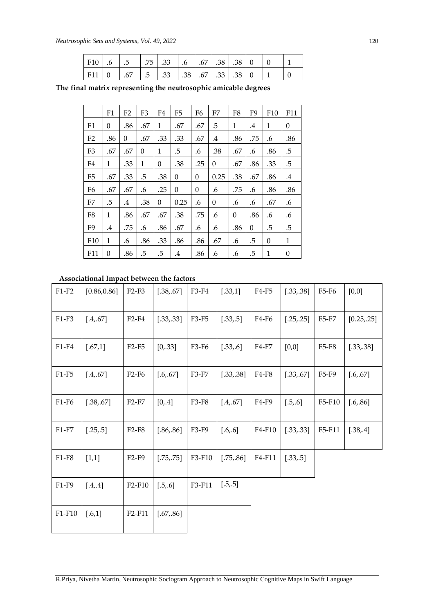| $\mid$ F <sub>10</sub> $\mid$ .6 $\mid$ .5 |                   | $75$ .33 .6 |  | $.67$ $.38$ $.38$ |  |  |
|--------------------------------------------|-------------------|-------------|--|-------------------|--|--|
| $F11$ 0                                    | $\overline{0.67}$ |             |  |                   |  |  |

**The final matrix representing the neutrosophic amicable degrees**

|     | F1       | F <sub>2</sub> | F3  | F4  | F <sub>5</sub> | F6       | F7   | F <sub>8</sub> | F9     | F10 | F11 |
|-----|----------|----------------|-----|-----|----------------|----------|------|----------------|--------|-----|-----|
| F1  | $\Omega$ | .86            | .67 | 1   | .67            | .67      | .5   | 1              | $.4\,$ | 1   | 0   |
| F2  | .86      | 0              | .67 | .33 | .33            | .67      | .4   | .86            | .75    | .6  | .86 |
| F3  | .67      | .67            | 0   | 1   | .5             | .6       | .38  | .67            | .6     | .86 | .5  |
| F4  | 1        | .33            | 1   | 0   | .38            | .25      | 0    | .67            | .86    | .33 | .5  |
| F5  | .67      | .33            | .5  | .38 | 0              | $\Omega$ | 0.25 | .38            | .67    | .86 | .4  |
| F6  | .67      | .67            | .6  | .25 | 0              | $\theta$ | .6   | .75            | .6     | .86 | .86 |
| F7  | .5       | .4             | .38 | 0   | 0.25           | .6       | 0    | .6             | .6     | .67 | .6  |
| F8  | 1        | .86            | .67 | .67 | .38            | .75      | .6   | 0              | .86    | .6  | .6  |
| F9  | .4       | .75            | .6  | .86 | .67            | .6       | .6   | .86            | 0      | .5  | .5  |
| F10 | 1        | .6             | .86 | .33 | .86            | .86      | .67  | .6             | .5     | 0   | 1   |
| F11 | 0        | .86            | .5  | .5  | .4             | .86      | .6   | .6             | .5     | 1   | 0   |

## **Associational Impact between the factors**

| $F1-F2$ | [0.86, 0.86] | $F2-F3$                         | [.38, .67] | F3-F4  | [.33,1]    | F4-F5  | [.33, .38] | F5-F6        | $[0,0]$    |
|---------|--------------|---------------------------------|------------|--------|------------|--------|------------|--------------|------------|
| $F1-F3$ | [.4, .67]    | $F2-F4$                         | [.33, .33] | F3-F5  | [.33, .5]  | F4-F6  | [.25, .25] | <b>F5-F7</b> | [0.25, 25] |
| $F1-F4$ | [.67,1]      | $F2-F5$                         | [0, .33]   | F3-F6  | [.33, .6]  | F4-F7  | $[0,0]$    | F5-F8        | [.33, .38] |
| $F1-F5$ | [.4, .67]    | $F2-F6$                         | [.6, .67]  | F3-F7  | [.33, .38] | F4-F8  | [.33, .67] | F5-F9        | [.6, .67]  |
| $F1-F6$ | [.38, .67]   | $F2-F7$                         | [0,4]      | F3-F8  | [.4, .67]  | F4-F9  | [.5, .6]   | F5-F10       | [.6, .86]  |
| $F1-F7$ | [.25, .5]    | $F2-F8$                         | [.86, .86] | F3-F9  | [.6, .6]   | F4-F10 | [.33, .33] | F5-F11       | [.38, .4]  |
| $F1-F8$ | $[1,1]$      | $F2-F9$                         | [.75, .75] | F3-F10 | [.75, .86] | F4-F11 | [.33, .5]  |              |            |
| $F1-F9$ | $[.4, .4]$   | F <sub>2</sub> -F <sub>10</sub> | [.5, .6]   | F3-F11 | [.5, .5]   |        |            |              |            |
| F1-F10  | $[.6,1]$     | F2-F11                          | [.67, .86] |        |            |        |            |              |            |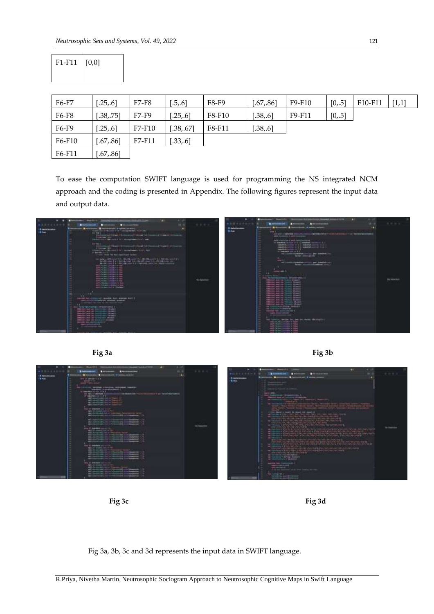| F1-F11 | [0,0] |
|--------|-------|
|        |       |

| F6-F7  | [.25, .6]  | F7-F8  | [0.5, 0.6] | F8-F9  | [.67, .86] | F9-F10 | $[0, 5]$ | F10-F11 | $[1,1]$ |
|--------|------------|--------|------------|--------|------------|--------|----------|---------|---------|
| F6-F8  | [.38, .75] | F7-F9  | 25,6       | F8-F10 | [.38, .6]  | F9-F11 | [0, 5]   |         |         |
| F6-F9  | [.25, .6]  | F7-F10 | 38,67      | F8-F11 | .38, .6]   |        |          |         |         |
| F6-F10 | [.67, .86] | F7-F11 | .33, .6]   |        |            |        |          |         |         |
| F6-F11 | [.67, .86] |        |            |        |            |        |          |         |         |

To ease the computation SWIFT language is used for programming the NS integrated NCM approach and the coding is presented in Appendix. The following figures represent the input data and output data.



 **Fig 3a Fig 3b** 







Fig 3a, 3b, 3c and 3d represents the input data in SWIFT language.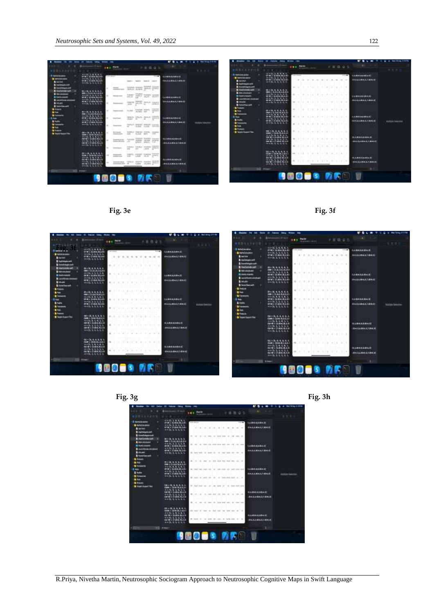



| $\mathbf{r}$ in<br>-                                                                                                                                          | THE OWNER.<br><b>Crews</b>                                                                                                                                   |                   |       |      |                                                 | <b>BUTRALITIES</b> |                                                                                                                                                                                      | <b>C. Februar</b>                                                                                                                               |                 |                                              |   |         |                                                  | <b>B. PHOTOGRAPHS</b>     |
|---------------------------------------------------------------------------------------------------------------------------------------------------------------|--------------------------------------------------------------------------------------------------------------------------------------------------------------|-------------------|-------|------|-------------------------------------------------|--------------------|--------------------------------------------------------------------------------------------------------------------------------------------------------------------------------------|-------------------------------------------------------------------------------------------------------------------------------------------------|-----------------|----------------------------------------------|---|---------|--------------------------------------------------|---------------------------|
|                                                                                                                                                               | sales I F-look                                                                                                                                               | <b>BMAP</b>       |       |      |                                                 |                    |                                                                                                                                                                                      |                                                                                                                                                 |                 | <b>Purde</b><br><b>CALIFORNIA CALIFORNIA</b> |   | # 医場 容白 |                                                  |                           |
| 医高筋红质过敏                                                                                                                                                       |                                                                                                                                                              |                   | 大陆进业市 |      |                                                 | 1.0.0.1            | <b>AUDIOIC</b>                                                                                                                                                                       |                                                                                                                                                 |                 |                                              |   |         |                                                  | 生态单)                      |
| $10^{11}$<br><b><i>E TOTAL COMM.</i></b><br><b>B</b> Info@atom<br><b>Blacked</b><br><b>B</b> Gallenges and                                                    | $-0.0111144441$<br>THATABARA<br><b>WEBSTERNESS</b><br><b>IFWA 14606 NAME</b><br>HALLLLLL                                                                     | and classically   |       | $-1$ | TAXMAXILIDATI<br><b>GARAGAS 14981</b>           |                    | <b>R. Milled Avallence</b><br><b>B</b> Networkshipting<br><b>B</b> Maline<br><b>Editional</b>                                                                                        | 1012 12 13 14 15 16 17<br>1779 4 14 14 15 A.M.<br>せきにももももも<br>TTN: 0.00020.00<br>--------                                                       |                 |                                              |   |         | <b>JUNEAUANAIL</b><br>10414-00411-00412          |                           |
| <b>Bindmann</b><br><b>B</b> visionals aid<br><b>B</b> Silverstown<br><b>B</b> Guita commo<br><b>B</b> Lacy/Room Includes<br><b>Bindy</b><br><b>Blanchause</b> | <b>Brill 6.8.7.6.8</b><br><b>REFERENCES</b><br>$-4+14-3+5+5+8$<br><b>BOY LEE MAY</b><br><b>HOLLAND</b><br><b>INTERNATIONAL PRODUCT</b><br>411.111.11         |                   |       |      | <b>LUDICALISAZI</b><br><b>SALUMARY AND REAL</b> |                    | <b>B</b> Seebbymark<br><sup>+</sup> FireController and<br><b>B</b> Ministeriori<br><b>B</b> Foreh stream<br><b>B</b> Lavoichianni analysis<br><b>Bimisto</b><br><b>Bradedies and</b> | 2012/01/21 22:23<br><b>GON &amp; LEASER SEA THE</b><br>411111111<br>9700 x 10.000 30.0.00<br>$-11.1111111$<br>0709 x 11.854.78.5.81<br>通用医气虚电压器 |                 |                                              | . |         | <b>LUDIARINI</b><br>けんしん静水して静水流                  |                           |
| <b>N</b> Pullatio<br><b>B</b> Tele<br><b>B</b> Terminals<br><b>River</b><br><b>Diffully</b><br><b>B</b> Factories<br><b>Witness</b>                           | $H = H + 1 + 1 + 1 + 1$<br><b>THEY CLAUS WANT</b><br>$-0.01$ , $-0.1$ , $-0.1$<br><b>IFO - LLOCALLO</b><br><b>HALLMARK</b><br>2010/12/04 10:38<br>せいれんなん おもと |                   |       |      | 1.043.11613<br><b>DAAABAATEMA</b>               | Milton See Cor.    | <b>B</b> Roburn<br><b>RTMS</b><br><b>M</b> Foreston<br><br>21496<br><b>B</b> Talenton<br><b>R</b> Pate                                                                               | <b>BUMARAS</b><br>000 X TEAM RENT<br><b>VILLEZZZ</b><br><b>WWA HOMARAS</b><br>441111111<br>1000 x 11461-0-430<br>44811111                       |                 |                                              |   |         | 100003330431<br>HALL BALLTANET                   | <b>Multiple Solution:</b> |
| $\overline{\phantom{a}}$<br><b>N</b> learn board line                                                                                                         | <b>MELSON REAL REA</b><br>1980 F. LEWIS CO., LANSING<br>$-111.41.61.1$<br>101301-01404-0141<br>$-4012335552$<br>201812-014-013-0<br>18836666666              |                   |       |      | 13304333043<br>4941110437.0003                  |                    | <b>R</b> Policie<br><b>N</b> Tenen Twent Day                                                                                                                                         | 1887年九九九九日<br><b>GREATING ALLEY</b><br>1012 32 42 42 42 43<br><b>CATRIC GUIDE SEAR</b><br>********<br><b>CATALOGUE IS FAT</b><br>9811111111     |                 |                                              |   |         | <b>TEARSLEEKHIEL</b><br><b>SHEARNEAD BILLS</b>   |                           |
|                                                                                                                                                               | 2010/06/08 01:00<br>1200 + 1240, B-L.K.L.<br>201215-012<br>97812-010-012-0<br><b>ALLENDAR</b>                                                                |                   |       |      | 1,44944,0304.0<br><b>ENCESSION CONTROL</b>      |                    |                                                                                                                                                                                      | 221次にももも1<br>DAM + 1934 M. LA.L.<br>经未提供 电电流分<br>0201111-02014<br>$-11.11.11.11.1$<br>G21811 01014 261.00<br>$-0.1$ 10. 10. 10. 10. 10.         |                 |                                              |   |         | <b><i>HAMMATASATI</i></b><br>194 LL134 L7 394 17 |                           |
|                                                                                                                                                               | <b>SIE Waak</b>                                                                                                                                              |                   |       |      |                                                 |                    |                                                                                                                                                                                      | <b>200 Hours</b>                                                                                                                                |                 |                                              |   |         |                                                  |                           |
|                                                                                                                                                               |                                                                                                                                                              | <b>BBOOS MARK</b> |       |      |                                                 |                    |                                                                                                                                                                                      |                                                                                                                                                 | <b>MEDES AF</b> |                                              |   |         |                                                  |                           |



R.Priya, Nivetha Martin, Neutrosophic Sociogram Approach to Neutrosophic Cognitive Maps in Swift Language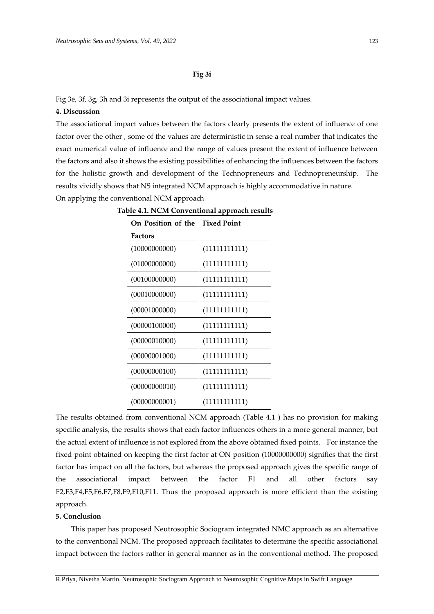#### **Fig 3i**

Fig 3e, 3f, 3g, 3h and 3i represents the output of the associational impact values.

#### **4. Discussion**

The associational impact values between the factors clearly presents the extent of influence of one factor over the other , some of the values are deterministic in sense a real number that indicates the exact numerical value of influence and the range of values present the extent of influence between the factors and also it shows the existing possibilities of enhancing the influences between the factors for the holistic growth and development of the Technopreneurs and Technopreneurship. The results vividly shows that NS integrated NCM approach is highly accommodative in nature. On applying the conventional NCM approach

| On Position of the | <b>Fixed Point</b> |
|--------------------|--------------------|
| <b>Factors</b>     |                    |
| (10000000000)      | (11111111111)      |
| (01000000000)      | (11111111111)      |
| (00100000000)      | (11111111111)      |
| (00010000000)      | (11111111111)      |
| (00001000000)      | (11111111111)      |
| (00000100000)      | (11111111111)      |
| (00000010000)      | (11111111111)      |
| (00000001000)      | (11111111111)      |
| (00000000100)      | (11111111111)      |
| (00000000010)      | (11111111111)      |
| (00000000001)      | (11111111111)      |

**Table 4.1. NCM Conventional approach results**

The results obtained from conventional NCM approach (Table 4.1 ) has no provision for making specific analysis, the results shows that each factor influences others in a more general manner, but the actual extent of influence is not explored from the above obtained fixed points. For instance the fixed point obtained on keeping the first factor at ON position (10000000000) signifies that the first factor has impact on all the factors, but whereas the proposed approach gives the specific range of the associational impact between the factor F1 and all other factors say F2,F3,F4,F5,F6,F7,F8,F9,F10,F11. Thus the proposed approach is more efficient than the existing approach.

#### **5. Conclusion**

This paper has proposed Neutrosophic Sociogram integrated NMC approach as an alternative to the conventional NCM. The proposed approach facilitates to determine the specific associational impact between the factors rather in general manner as in the conventional method. The proposed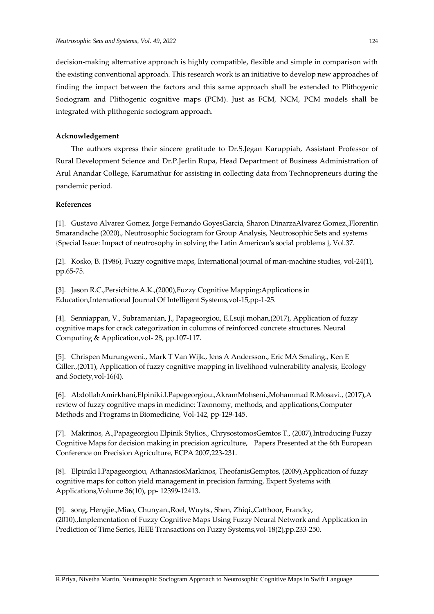decision-making alternative approach is highly compatible, flexible and simple in comparison with the existing conventional approach. This research work is an initiative to develop new approaches of finding the impact between the factors and this same approach shall be extended to Plithogenic Sociogram and Plithogenic cognitive maps (PCM). Just as FCM, NCM, PCM models shall be integrated with plithogenic sociogram approach.

#### **Acknowledgement**

The authors express their sincere gratitude to Dr.S.Jegan Karuppiah, Assistant Professor of Rural Development Science and Dr.P.Jerlin Rupa, Head Department of Business Administration of Arul Anandar College, Karumathur for assisting in collecting data from Technopreneurs during the pandemic period.

#### **References**

[1]. Gustavo Alvarez Gomez, Jorge Fernando GoyesGarcia, Sharon DinarzaAlvarez Gomez.,Florentin Smarandache (2020)., Neutrosophic Sociogram for Group Analysis, Neutrosophic Sets and systems {Special Issue: Impact of neutrosophy in solving the Latin American's social problems }, Vol.37.

[2]. Kosko, B. (1986), Fuzzy cognitive maps, International journal of man-machine studies, vol-24(1), pp.65-75.

[3]. Jason R.C.,Persichitte.A.K.,(2000),Fuzzy Cognitive Mapping:Applications in Education,International Journal Of Intelligent Systems,vol-15,pp-1-25.

[4]. Senniappan, V., Subramanian, J., Papageorgiou, E.I,suji mohan,(2017), Application of fuzzy cognitive maps for crack categorization in columns of reinforced concrete structures. Neural Computing & Application,vol- 28, pp.107-117.

[5]. Chrispen Murungweni., Mark T Van Wijk., Jens A Andersson., Eric MA Smaling., Ken E Giller.,(2011), Application of fuzzy cognitive mapping in livelihood vulnerability analysis, Ecology and Society,vol-16(4).

[6]. AbdollahAmirkhani,Elpiniki.I.Papegeorgiou.,AkramMohseni.,Mohammad R.Mosavi., (2017),A review of fuzzy cognitive maps in medicine: Taxonomy, methods, and applications,Computer Methods and Programs in Biomedicine, Vol-142, pp-129-145.

[7]. Makrinos, A.,Papageorgiou Elpinik Stylios., ChrysostomosGemtos T., (2007),Introducing Fuzzy Cognitive Maps for decision making in precision agriculture, Papers Presented at the 6th European Conference on Precision Agriculture, ECPA 2007,223-231.

[8]. Elpiniki I.Papageorgiou, AthanasiosMarkinos, TheofanisGemptos, (2009),Application of fuzzy cognitive maps for cotton yield management in precision farming, Expert Systems with Applications,Volume 36(10), pp- 12399-12413.

[9]. song, Hengjie.,Miao, Chunyan.,Roel, Wuyts., Shen, Zhiqi.,Catthoor, Francky, (2010).,Implementation of Fuzzy Cognitive Maps Using Fuzzy Neural Network and Application in Prediction of Time Series, IEEE Transactions on Fuzzy Systems,vol-18(2),pp.233-250.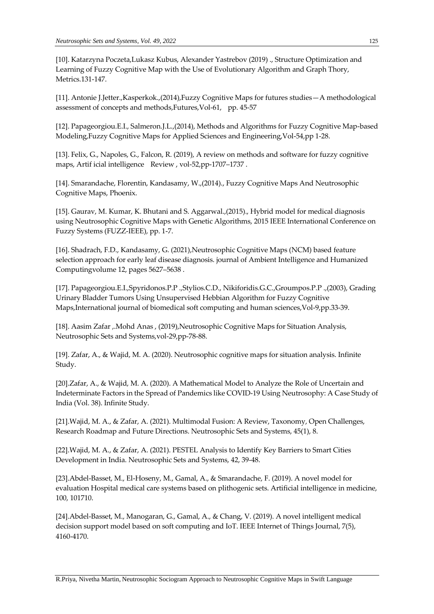[10]. Katarzyna Poczeta,Lukasz Kubus, Alexander Yastrebov (2019) ., Structure Optimization and Learning of Fuzzy Cognitive Map with the Use of Evolutionary Algorithm and Graph Thory, Metrics.131-147.

[11]. Antonie J.Jetter.,Kasperkok.,(2014),Fuzzy Cognitive Maps for futures studies—A methodological assessment of concepts and methods,Futures,Vol-61, pp. 45-57

[12]. Papageorgiou.E.I., Salmeron.J.L.,(2014), Methods and Algorithms for Fuzzy Cognitive Map-based Modeling,Fuzzy Cognitive Maps for Applied Sciences and Engineering,Vol-54,pp 1-28.

[13]. Felix, G., Napoles, G., Falcon, R. (2019), A review on methods and software for fuzzy cognitive maps, Artif icial intelligence Review , vol-52,pp-1707–1737 .

[14]. Smarandache, Florentin, Kandasamy, W.,(2014)., Fuzzy Cognitive Maps And Neutrosophic Cognitive Maps, Phoenix.

[15]. Gaurav, M. Kumar, K. Bhutani and S. Aggarwal.,(2015)., Hybrid model for medical diagnosis using Neutrosophic Cognitive Maps with Genetic Algorithms, 2015 IEEE International Conference on Fuzzy Systems (FUZZ-IEEE), pp. 1-7.

[16]. Shadrach, F.D., Kandasamy, G. (2021),Neutrosophic Cognitive Maps (NCM) based feature selection approach for early leaf disease diagnosis. journal of Ambient Intelligence and Humanized Computingvolume 12, pages 5627–5638 .

[17]. Papageorgiou.E.I.,Spyridonos.P.P .,Stylios.C.D., Nikiforidis.G.C.,Groumpos.P.P .,(2003), Grading Urinary Bladder Tumors Using Unsupervised Hebbian Algorithm for Fuzzy Cognitive Maps,International journal of biomedical soft computing and human sciences,Vol-9,pp.33-39.

[18]. Aasim Zafar ,.Mohd Anas , (2019),Neutrosophic Cognitive Maps for Situation Analysis, Neutrosophic Sets and Systems,vol-29,pp-78-88.

[19]. Zafar, A., & Wajid, M. A. (2020). Neutrosophic cognitive maps for situation analysis. Infinite Study.

[20].Zafar, A., & Wajid, M. A. (2020). A Mathematical Model to Analyze the Role of Uncertain and Indeterminate Factors in the Spread of Pandemics like COVID-19 Using Neutrosophy: A Case Study of India (Vol. 38). Infinite Study.

[21].Wajid, M. A., & Zafar, A. (2021). Multimodal Fusion: A Review, Taxonomy, Open Challenges, Research Roadmap and Future Directions. Neutrosophic Sets and Systems, 45(1), 8.

[22].Wajid, M. A., & Zafar, A. (2021). PESTEL Analysis to Identify Key Barriers to Smart Cities Development in India. Neutrosophic Sets and Systems, 42, 39-48.

[23].Abdel-Basset, M., El-Hoseny, M., Gamal, A., & Smarandache, F. (2019). A novel model for evaluation Hospital medical care systems based on plithogenic sets. Artificial intelligence in medicine, 100, 101710.

[24].Abdel-Basset, M., Manogaran, G., Gamal, A., & Chang, V. (2019). A novel intelligent medical decision support model based on soft computing and IoT. IEEE Internet of Things Journal, 7(5), 4160-4170.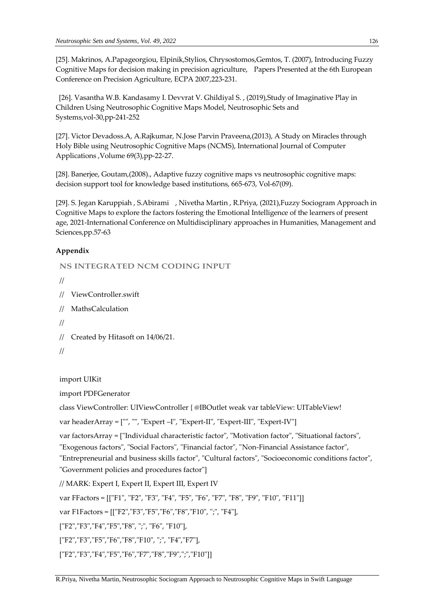[25]. Makrinos, A.Papageorgiou, Elpinik,Stylios, Chrysostomos,Gemtos, T. (2007), Introducing Fuzzy Cognitive Maps for decision making in precision agriculture, Papers Presented at the 6th European Conference on Precision Agriculture, ECPA 2007,223-231.

[26]. Vasantha W.B. Kandasamy I. Devvrat V. Ghildiyal S. , (2019),Study of Imaginative Play in Children Using Neutrosophic Cognitive Maps Model, Neutrosophic Sets and Systems,vol-30,pp-241-252

[27]. Victor Devadoss.A, A.Rajkumar, N.Jose Parvin Praveena,(2013), A Study on Miracles through Holy Bible using Neutrosophic Cognitive Maps (NCMS), International Journal of Computer Applications ,Volume 69(3),pp-22-27.

[28]. Banerjee, Goutam,(2008)., Adaptive fuzzy cognitive maps vs neutrosophic cognitive maps: decision support tool for knowledge based institutions, 665-673, Vol-67(09).

[29]. S. Jegan Karuppiah , S.Abirami , Nivetha Martin , R.Priya, (2021),Fuzzy Sociogram Approach in Cognitive Maps to explore the factors fostering the Emotional Intelligence of the learners of present age, 2021-International Conference on Multidisciplinary approaches in Humanities, Management and Sciences,pp.57-63

# **Appendix**

**NS INTEGRATED NCM CODING INPUT**

```
//
```

```
// ViewController.swift
```

```
// MathsCalculation
```

```
//
```

```
// Created by Hitasoft on 14/06/21.
```

```
//
```
import UIKit

import PDFGenerator

class ViewController: UIViewController { @IBOutlet weak var tableView: UITableView!

var headerArray = ["", "", "Expert –I", "Expert-II", "Expert-III", "Expert-IV"]

var factorsArray = ["Individual characteristic factor", "Motivation factor", "Situational factors",

"Exogenous factors", "Social Factors", "Financial factor", "Non-Financial Assistance factor",

"Entrepreneurial and business skills factor", "Cultural factors", "Socioeconomic conditions factor", "Government policies and procedures factor"]

// MARK: Expert I, Expert II, Expert III, Expert IV

var FFactors = [["F1", "F2", "F3", "F4", "F5", "F6", "F7", "F8", "F9", "F10", "F11"]]

var F1Factors = [["F2","F3","F5","F6","F8","F10", ";", "F4"],

["F2","F3","F4","F5","F8", ";", "F6", "F10"],

["F2","F3","F5","F6","F8","F10", ";", "F4","F7"],

["F2","F3","F4","F5","F6","F7","F8","F9",";","F10"]]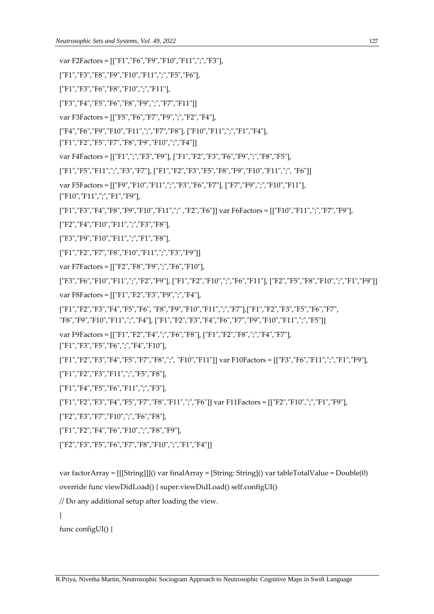var F2Factors = [["F1","F6","F9","F10","F11",";","F3"],

["F1","F3","F8","F9","F10","F11",";","F5","F6"],

["F1","F3","F6","F8","F10",";","F11"],

["F3","F4","F5","F6","F8","F9",";","F7","F11"]]

var F3Factors = [["F5","F6","F7","F9",";","F2","F4"],

["F4","F6","F9","F10","F11",";","F7","F8"], ["F10","F11",";","F1","F4"],

["F1","F2","F5","F7","F8","F9","F10",";","F4"]]

var F4Factors = [["F1",";","F3","F9"], ["F1","F2","F3","F6","F9",";","F8","F5"],

["F1","F5","F11",";","F3","F7"], ["F1","F2","F3","F5","F8","F9","F10","F11",";", "F6"]]

var F5Factors = [["F9","F10","F11",";","F3","F6","F7"], ["F7","F9",";","F10","F11"],

["F10","F11",";","F1","F9"],

["F1","F3","F4","F8","F9","F10","F11",";" ,"F2","F6"]] var F6Factors = [["F10","F11",";","F7","F9"],

["F2","F4","F10","F11",";","F3","F8"],

["F3","F9","F10","F11",";","F1","F8"],

["F1","F2","F7","F8","F10","F11",";","F3","F9"]]

var F7Factors = [["F2","F8","F9",";","F6","F10"],

["F3","F6","F10","F11",";","F2","F9"], ["F1","F2","F10",";","F6","F11"], ["F2","F5","F8","F10",";","F1","F9"]]

var F8Factors = [["F1","F2","F3","F9",";","F4"],

["F1","F2","F3","F4","F5","F6", "F8","F9","F10","F11",";","F7"],["F1","F2","F3","F5","F6","F7",

"F8","F9","F10","F11",";","F4"], ["F1","F2","F3","F4","F6","F7","F9","F10","F11",";","F5"]]

var F9Factors = [["F1","F2","F4",";","F6","F8"], ["F1","F2","F8",";","F4","F7"],

["F1","F3","F5","F6",";","F4","F10"],

["F1","F2","F3","F4","F5","F7","F8",";", "F10","F11"]] var F10Factors = [["F3","F6","F11",";","F1","F9"],

["F1","F2","F3","F11",";","F5","F8"],

["F1","F4","F5","F6","F11",";","F3"],

["F1","F2","F3","F4","F5","F7","F8","F11",";","F6"]] var F11Factors = [["F2","F10",";","F1","F9"],

["F2","F3","F7","F10",";","F6","F8"],

["F1","F2","F4","F6","F10",";","F8","F9"],

["F2","F3","F5","F6","F7","F8","F10",";","F1","F4"]]

var factorArray = [[[String]]]() var finalArray = [String: String]() var tableTotalValue = Double(0)

override func viewDidLoad() { super.viewDidLoad() self.configUI()

// Do any additional setup after loading the view.

}

func configUI() {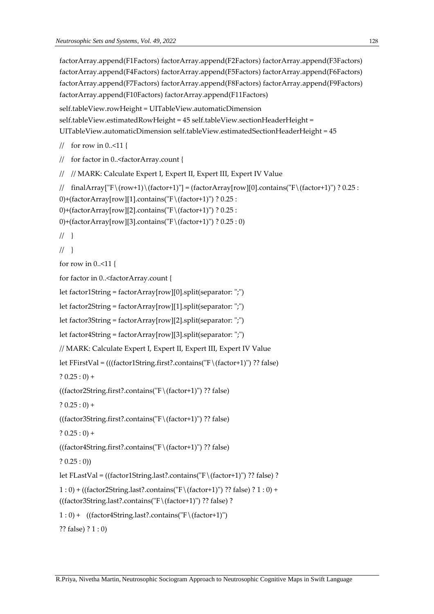factorArray.append(F1Factors) factorArray.append(F2Factors) factorArray.append(F3Factors) factorArray.append(F4Factors) factorArray.append(F5Factors) factorArray.append(F6Factors) factorArray.append(F7Factors) factorArray.append(F8Factors) factorArray.append(F9Factors) factorArray.append(F10Factors) factorArray.append(F11Factors) self.tableView.rowHeight = UITableView.automaticDimension

```
self.tableView.estimatedRowHeight = 45 self.tableView.sectionHeaderHeight = 
UITableView.automaticDimension self.tableView.estimatedSectionHeaderHeight = 45
```
- // for row in  $0.511$  {
- // for factor in 0..<factorArray.count {
- // // MARK: Calculate Expert I, Expert II, Expert III, Expert IV Value

```
// finalArray["F\(row+1)\(factor+1)"] = (factorArray[row][0].contains("F\(factor+1)") ? 0.25 :
```

```
0)+(factorArray[row][1].contains("F\(factor+1)") ? 0.25 :
```

```
0)+(factorArray[row][2].contains("F\(factor+1)") ? 0.25 :
```

```
0)+(factorArray[row][3].contains("F\(factor+1)") ? 0.25:0)
```
 $//$ }

```
//}
```

```
for row in 0..<11 {
```
for factor in 0..<factorArray.count {

```
let factor1String = factorArray[row][0].split(separator: ";")
```

```
let factor2String = factorArray[row][1].split(separator: ";")
```

```
let factor3String = factorArray[row][2].split(separator: ";")
```

```
let factor4String = factorArray[row][3].split(separator: ";")
```

```
// MARK: Calculate Expert I, Expert II, Expert III, Expert IV Value
```

```
let FFirstVal = (((factor1String.first?.contains("F\(factor+1)") ?? false)
```
 $? 0.25 : 0) +$ 

```
((factor2String.first?.contains("F\(factor+1)") ?? false)
```
 $? 0.25 : 0$  +

```
((factor 3String.first?.\text{contains}("F\setminus (factor+1)") ?? false)
```

```
? 0.25 : 0) +
```

```
((factor4String.first?.contains("F\(factor+1)") ?? false)
```

```
? 0.25: 0)
```

```
let FLastVal = ((factor1String.last?.contains("F\(factor+1)") ?? false) ?
```

```
1 : 0) + ((factor2String.last?.contains("F\(factor+1)") ?? false) ? 1 : 0) + 
((factor3String.last?.contains("F\(factor+1)") ?? false) ?
```

```
1 : 0) + ((factor4String.last?.contains("F\(factor+1)")
```
?? false) ? 1 : 0)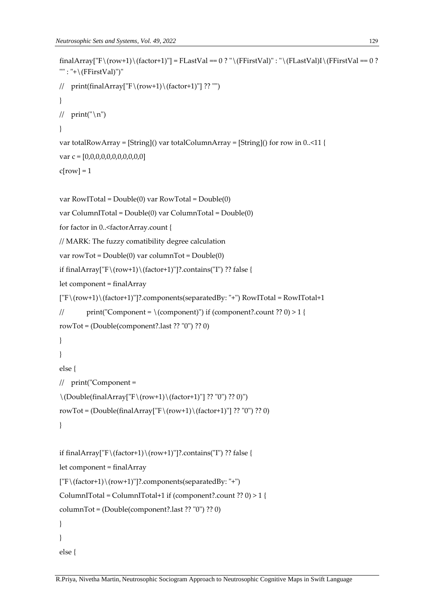```
finalArray["F\(row+1)\(factor+1)"] = FLastVal == 0 ? "\(FFirstVal)" : "\(FLastVal)I\(FFirstVal == 0 ?
" " : "+ \setminus (FFirstVal)""// print(finalArray["F\(row+1)\(factor+1)"] ?? "")
}
// print("n")}
var totalRowArray = [String]() var totalColumnArray = [String]() for row in 0..<11 {
var c = [0,0,0,0,0,0,0,0,0,0,0]c[row] = 1var RowITotal = Double(0) var RowTotal = Double(0)
var ColumnITotal = Double(0) var ColumnTotal = Double(0)
for factor in 0..<factorArray.count {
// MARK: The fuzzy comatibility degree calculation
var rowTot = Double(0) var columnTot = Double(0) 
if finalArray["F\(row+1)\(factor+1)"]?.contains("I") ?? false {
let component = finalArray
[TF\setminus (row+1)\setminus (factor+1)']?.components(separatedBy: "+") RowITotal = RowITotal+1
// print("Component = \langle (component)") if (component?.count ?? 0) > 1 {
rowTot = (Double(component?.last ?? "0") ?? 0)
}
}
else {
// print("Component =
\(Double(finalArray["F\(row+1)\(factor+1)"] ?? "0") ?? 0)")
rowTot = (Double(finalArray["F\(row+1)\(factor+1)"] ?? "0") ?? 0)
}
if finalArray["F\(factor+1)\(row+1)"]?.contains("I") ?? false {
let component = finalArray
["F\(factor+1)\(row+1)"]?.components(separatedBy: "+")
ColumnITotal = ColumnITotal+1 if (component?.count ?? 0) > 1 {
columnTot = (Double(component?.last ?? "0") ?? 0)
}
}
```

```
else {
```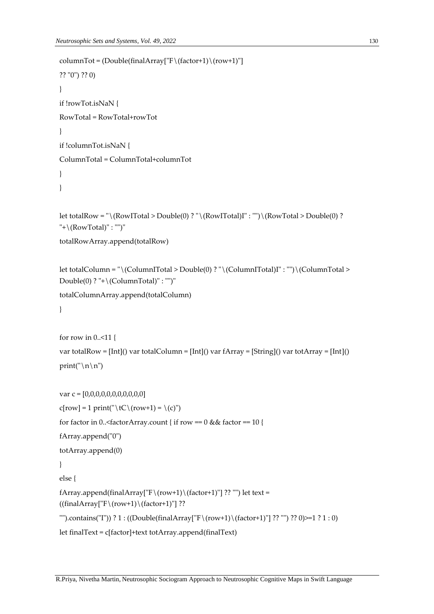```
columnTot = (Double(finalArray["F \setminus (factor+1) \setminus (row+1)"]?? "0") ?? 0)
}
if !rowTot.isNaN {
RowTotal = RowTotal+rowTot
}
if !columnTot.isNaN {
ColumnTotal = ColumnTotal+columnTot
}
}
let totalRow = "\(RowITotal > Double(0) ? "\(RowITotal)I" : "")\(RowTotal > Double(0) ? 
"+\(RowTotal)" : "")"totalRowArray.append(totalRow)
let totalColumn = "\(ColumnITotal > Double(0) ? "\(ColumnITotal)I" : "")\(ColumnTotal > 
Double(0) ? "+\C{ColumnTotal}" : "")"
totalColumnArray.append(totalColumn)
}
for row in 0.11 {
var totalRow = [Int]() var totalColumn = [Int]() var fArray = [String]() var totArray = [Int]() 
print("\ln\n")
var c = [0,0,0,0,0,0,0,0,0,0,0]
c[row] = 1 print(" \tC\(row+1) = \c()")for factor in 0..<factorArray.count { if row == 0 \& \& factor == 10 \{fArray.append("0")
totArray.append(0)
}
else {
fArray.append(finalArray["F\(row+1)\(factor+1)"] ?? "") let text =
((finalArray["F\(row+1)\(factor+1)"] ??
"").contains("I")) ? 1 : ((Double(finalArray["F\(row+1)\(factor+1)"] ?? "") ?? 0)>=1 ? 1 : 0)
let finalText = c[factor]+text totArray.append(finalText)
```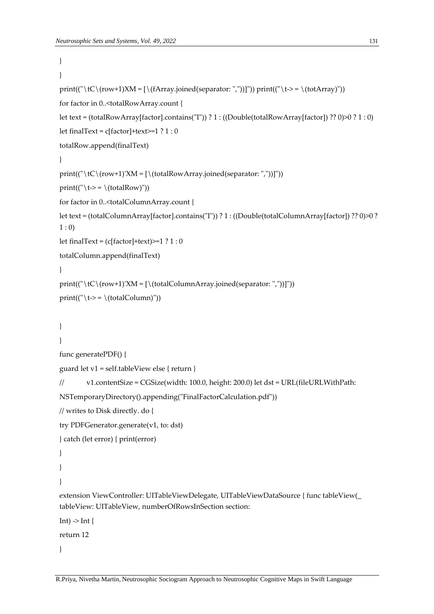```
}
}
print(("\tC\(row+1)XM = [\(fArray.joined(separator: ","))]")) print(("\t-> = \(totArray)"))
for factor in 0..<totalRowArray.count {
let text = (totalRowArray[factor].contains("I")) ? 1 : ((Double(totalRowArray[factor]) ?? 0)>0 ? 1 : 0)
let finalText = c[factor]+text>=1 ? 1 : 0
totalRow.append(finalText)
}
print(("\tC\(row+1)'XM = [\(totalRowArray.joined(separator: ","))]"))
print(("\t-> = \(totalRow)"))
for factor in 0..<totalColumnArray.count {
let text = (totalColumnArray[factor].contains("I")) ? 1 : ((Double(totalColumnArray[factor]) ?? 0)>0 ? 
1:0let finalText = (c[factor]+text)>=1 ? 1 : 0totalColumn.append(finalText)
}
print(("\tC\(row+1)'XM = [\(totalColumnArray.joined(separator: ","))]"))
print(("\t->= \setminus (totalColumn)"))}
}
func generatePDF() {
guard let v1 = self.tableView else { return }
// v1.contentSize = CGSize(width: 100.0, height: 200.0) let dst = URL(fileURLWithPath:
NSTemporaryDirectory().appending("FinalFactorCalculation.pdf"))
// writes to Disk directly. do {
try PDFGenerator.generate(v1, to: dst)
} catch (let error) { print(error)
} 
}
}
extension ViewController: UITableViewDelegate, UITableViewDataSource { func tableView(_ 
tableView: UITableView, numberOfRowsInSection section:
Int) \rightarrow Int {
return 12
```

```
}
```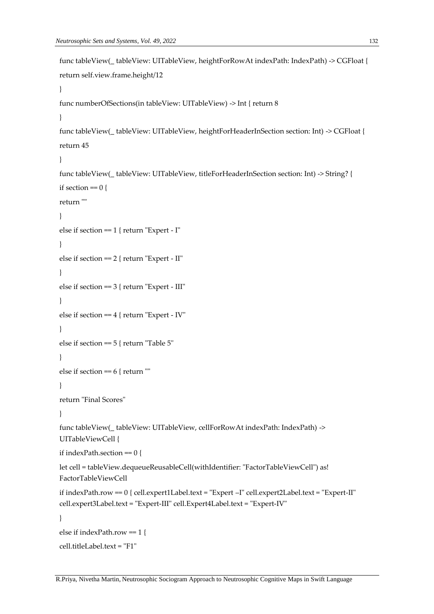```
func tableView(_ tableView: UITableView, heightForRowAt indexPath: IndexPath) -> CGFloat {
return self.view.frame.height/12
}
func numberOfSections(in tableView: UITableView) -> Int { return 8
}
func tableView(_ tableView: UITableView, heightForHeaderInSection section: Int) -> CGFloat {
return 45
}
func tableView(_ tableView: UITableView, titleForHeaderInSection section: Int) -> String? {
if section == 0 {
return ""
}
else if section == 1 { return "Expert - I"
}
else if section == 2 { return "Expert - II"
}
else if section == 3 { return "Expert - III"
}
else if section == 4 { return "Expert - IV"
}
else if section == 5 { return "Table 5"
}
else if section == 6 { return ""
}
return "Final Scores"
}
func tableView(_ tableView: UITableView, cellForRowAt indexPath: IndexPath) -> 
UITableViewCell {
if indexPath.section == 0 {
let cell = tableView.dequeueReusableCell(withIdentifier: "FactorTableViewCell") as! 
FactorTableViewCell
if indexPath.row == 0 { cell.expert1Label.text = "Expert –I" cell.expert2Label.text = "Expert-II" 
cell.expert3Label.text = "Expert-III" cell.Expert4Label.text = "Expert-IV"
}
else if indexPath.row == 1 { 
cell.titleLabel.text = "F1"
```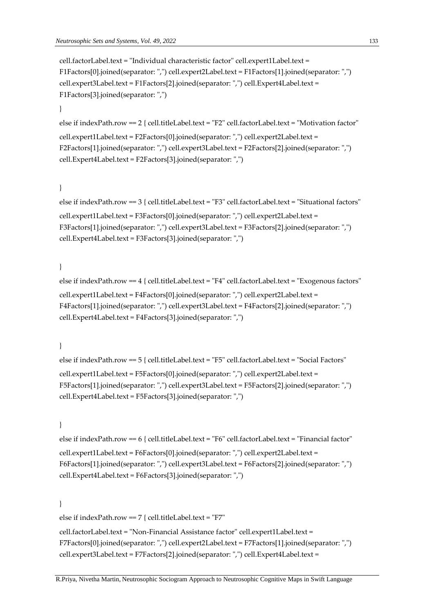cell.factorLabel.text = "Individual characteristic factor" cell.expert1Label.text = F1Factors[0].joined(separator: ",") cell.expert2Label.text = F1Factors[1].joined(separator: ",") cell.expert3Label.text = F1Factors[2].joined(separator: ",") cell.Expert4Label.text = F1Factors[3].joined(separator: ",")

#### }

else if indexPath.row == 2 { cell.titleLabel.text = "F2" cell.factorLabel.text = "Motivation factor" cell.expert1Label.text = F2Factors[0].joined(separator: ",") cell.expert2Label.text = F2Factors[1].joined(separator: ",") cell.expert3Label.text = F2Factors[2].joined(separator: ",") cell.Expert4Label.text = F2Factors[3].joined(separator: ",")

### }

else if indexPath.row == 3 { cell.titleLabel.text = "F3" cell.factorLabel.text = "Situational factors" cell.expert1Label.text = F3Factors[0].joined(separator: ",") cell.expert2Label.text = F3Factors[1].joined(separator: ",") cell.expert3Label.text = F3Factors[2].joined(separator: ",") cell.Expert4Label.text = F3Factors[3].joined(separator: ",")

#### }

else if indexPath.row == 4 { cell.titleLabel.text = "F4" cell.factorLabel.text = "Exogenous factors" cell.expert1Label.text = F4Factors[0].joined(separator: ",") cell.expert2Label.text = F4Factors[1].joined(separator: ",") cell.expert3Label.text = F4Factors[2].joined(separator: ",") cell.Expert4Label.text = F4Factors[3].joined(separator: ",")

#### }

```
else if indexPath.row == 5 { cell.titleLabel.text = "F5" cell.factorLabel.text = "Social Factors"
cell.expert1Label.text = F5Factors[0].joined(separator: ",") cell.expert2Label.text = 
F5Factors[1].joined(separator: ",") cell.expert3Label.text = F5Factors[2].joined(separator: ",") 
cell.Expert4Label.text = F5Factors[3].joined(separator: ",")
```
## }

else if indexPath.row == 6 { cell.titleLabel.text = "F6" cell.factorLabel.text = "Financial factor" cell.expert1Label.text = F6Factors[0].joined(separator: ",") cell.expert2Label.text = F6Factors[1].joined(separator: ",") cell.expert3Label.text = F6Factors[2].joined(separator: ",") cell.Expert4Label.text = F6Factors[3].joined(separator: ",")

#### }

else if indexPath.row == 7 { cell.titleLabel.text = "F7" cell.factorLabel.text = "Non-Financial Assistance factor" cell.expert1Label.text = F7Factors[0].joined(separator: ",") cell.expert2Label.text = F7Factors[1].joined(separator: ",") cell.expert3Label.text = F7Factors[2].joined(separator: ",") cell.Expert4Label.text =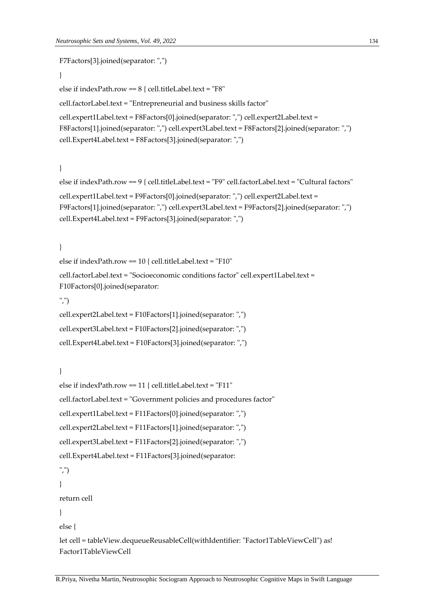```
F7Factors[3].joined(separator: ",")
}
else if indexPath.row == 8 { cell.titleLabel.text = "F8"
cell.factorLabel.text = "Entrepreneurial and business skills factor"
cell.expert1Label.text = F8Factors[0].joined(separator: ",") cell.expert2Label.text = 
F8Factors[1].joined(separator: ",") cell.expert3Label.text = F8Factors[2].joined(separator: ",") 
cell.Expert4Label.text = F8Factors[3].joined(separator: ",")
```
}

```
else if indexPath.row == 9 { cell.titleLabel.text = "F9" cell.factorLabel.text = "Cultural factors"
cell.expert1Label.text = F9Factors[0].joined(separator: ",") cell.expert2Label.text = 
F9Factors[1].joined(separator: ",") cell.expert3Label.text = F9Factors[2].joined(separator: ",") 
cell.Expert4Label.text = F9Factors[3].joined(separator: ",")
```
}

else if indexPath.row == 10 { cell.titleLabel.text = "F10" cell.factorLabel.text = "Socioeconomic conditions factor" cell.expert1Label.text = F10Factors[0].joined(separator:

",")

```
cell.expert2Label.text = F10Factors[1].joined(separator: ",")
cell.expert3Label.text = F10Factors[2].joined(separator: ",")
cell.Expert4Label.text = F10Factors[3].joined(separator: ",")
```
}

```
else if indexPath.row == 11 { cell.titleLabel.text = "F11"
cell.factorLabel.text = "Government policies and procedures factor"
cell.expert1Label.text = F11Factors[0].joined(separator: ",")
cell.expert2Label.text = F11Factors[1].joined(separator: ",")
cell.expert3Label.text = F11Factors[2].joined(separator: ",")
cell.Expert4Label.text = F11Factors[3].joined(separator:
",")
}
return cell
}
else { 
let cell = tableView.dequeueReusableCell(withIdentifier: "Factor1TableViewCell") as! 
Factor1TableViewCell
```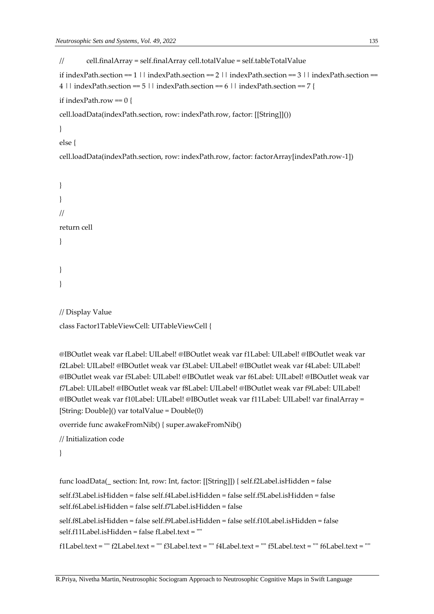// cell.finalArray = self.finalArray cell.totalValue = self.tableTotalValue

if indexPath.section == 1 || indexPath.section == 2 || indexPath.section == 3 || indexPath.section ==  $4 \mid \mid$  indexPath.section == 5  $\mid \mid$  indexPath.section == 6  $\mid \mid$  indexPath.section == 7 { if indexPath.row  $= 0$  {

cell.loadData(indexPath.section, row: indexPath.row, factor: [[String]]())

}

else {

cell.loadData(indexPath.section, row: indexPath.row, factor: factorArray[indexPath.row-1])

```
}
}
//
return cell
}
}
}
```

```
// Display Value
```
class Factor1TableViewCell: UITableViewCell {

@IBOutlet weak var fLabel: UILabel! @IBOutlet weak var f1Label: UILabel! @IBOutlet weak var f2Label: UILabel! @IBOutlet weak var f3Label: UILabel! @IBOutlet weak var f4Label: UILabel! @IBOutlet weak var f5Label: UILabel! @IBOutlet weak var f6Label: UILabel! @IBOutlet weak var f7Label: UILabel! @IBOutlet weak var f8Label: UILabel! @IBOutlet weak var f9Label: UILabel! @IBOutlet weak var f10Label: UILabel! @IBOutlet weak var f11Label: UILabel! var finalArray = [String: Double]() var totalValue = Double(0)

override func awakeFromNib() { super.awakeFromNib()

// Initialization code

}

func loadData(\_ section: Int, row: Int, factor: [[String]]) { self.f2Label.isHidden = false

self.f3Label.isHidden = false self.f4Label.isHidden = false self.f5Label.isHidden = false self.f6Label.isHidden = false self.f7Label.isHidden = false

self.f8Label.isHidden = false self.f9Label.isHidden = false self.f10Label.isHidden = false self.f11Label.isHidden = false fLabel.text = ""

f1Label.text = "" f2Label.text = "" f3Label.text = "" f4Label.text = "" f5Label.text = "" f6Label.text = ""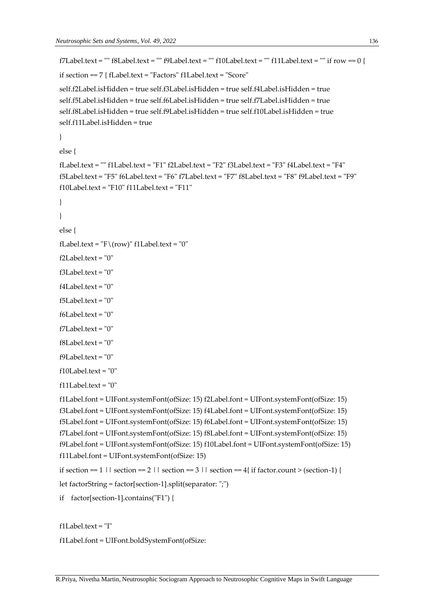```
f7Label.text = "" f8Label.text = "" f9Label.text = "" f10Label.text = "" f11Label.text = "" if row == 0 {
if section == 7 { fLabel.text = "Factors" f1Label.text = "Score"
self.f2Label.isHidden = true self.f3Label.isHidden = true self.f4Label.isHidden = true 
self.f5Label.isHidden = true self.f6Label.isHidden = true self.f7Label.isHidden = true 
self.f8Label.isHidden = true self.f9Label.isHidden = true self.f10Label.isHidden = true 
self.f11Label.isHidden = true
}
else {
fLabel.text = "" f1Label.text = "F1" f2Label.text = "F2" f3Label.text = "F3" f4Label.text = "F4" 
f5Label.text = "F5" f6Label.text = "F6" f7Label.text = "F7" f8Label.text = "F8" f9Label.text = "F9" 
f10Label.text = "F10" f11Label.text = "F11"
}
}
else {
fLabel.text = "F\(row)" f1Label.text = "0"
f2Label.text = "0"
f3Label.text = "0"
f4Label.text = "0"f5Label.text = "0"
f6Label.text = "0"f7Label.text = "0" 
f8Label.text = "0"
f9Label.text = "0"
f10Label.text = "0"f11Label.text = "0"
f1Label.font = UIFont.systemFont(ofSize: 15) f2Label.font = UIFont.systemFont(ofSize: 15) 
f3Label.font = UIFont.systemFont(ofSize: 15) f4Label.font = UIFont.systemFont(ofSize: 15) 
f5Label.font = UIFont.systemFont(ofSize: 15) f6Label.font = UIFont.systemFont(ofSize: 15) 
f7Label.font = UIFont.systemFont(ofSize: 15) f8Label.font = UIFont.systemFont(ofSize: 15) 
f9Label.font = UIFont.systemFont(ofSize: 15) f10Label.font = UIFont.systemFont(ofSize: 15) 
f11Label.font = UIFont.systemFont(ofSize: 15)
if section == 1 \mid \mid section == 2 \mid \mid section == 3 \mid \mid section == 4\mid if factor.count > (section-1) {
let factorString = factor[section-1].split(separator: ";")
if factor[section-1].contains("F1") {
f1Label.text = "I"
```
f1Label.font = UIFont.boldSystemFont(ofSize: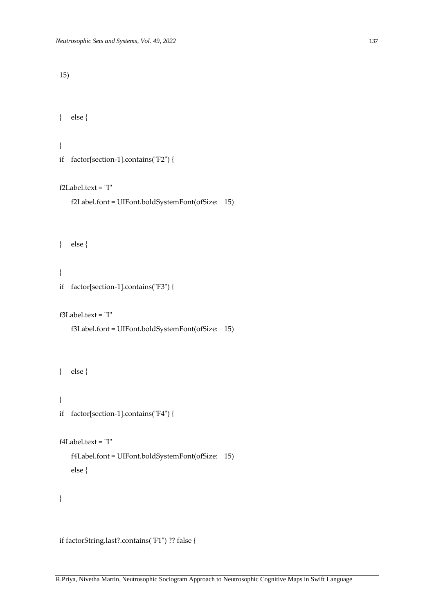## 15)

#### } else {

## }

```
if factor[section-1].contains("F2") {
```
## f2Label.text = "I"

f2Label.font = UIFont.boldSystemFont(ofSize: 15)

## } else {

#### }

```
if factor[section-1].contains("F3") {
```

```
f3Label.text = "I"
```
f3Label.font = UIFont.boldSystemFont(ofSize: 15)

} else {

### }

```
if factor[section-1].contains("F4") {
```

```
f4Label.text = "I"
```

```
f4Label.font = UIFont.boldSystemFont(ofSize: 15)
else {
```
# }

if factorString.last?.contains("F1") ?? false {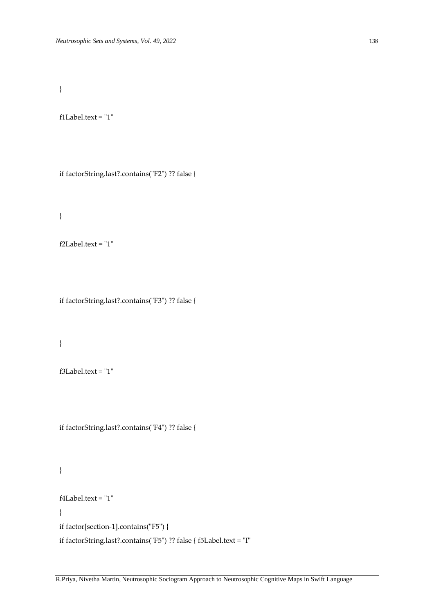}

f1Label.text = "1"

if factorString.last?.contains("F2") ?? false {

}

```
f2Label.text = "1"
```
if factorString.last?.contains("F3") ?? false {

#### }

```
f3Label.text = "1"
```
if factorString.last?.contains("F4") ?? false {

```
}
```
f4Label.text = "1"

}

if factor[section-1].contains("F5") {

if factorString.last?.contains("F5") ?? false { f5Label.text = "I"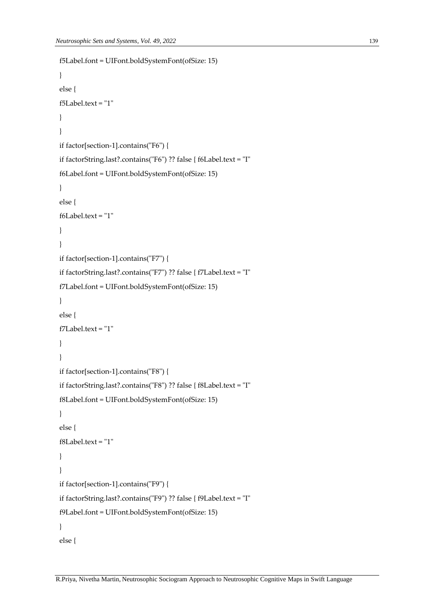```
f5Label.font = UIFont.boldSystemFont(ofSize: 15)
}
else {
f5Label.text = "1"
}
}
if factor[section-1].contains("F6") {
if factorString.last?.contains("F6") ?? false { f6Label.text = "I"
f6Label.font = UIFont.boldSystemFont(ofSize: 15)
}
else {
f6Label.text = "1"
}
}
if factor[section-1].contains("F7") {
if factorString.last?.contains("F7") ?? false { f7Label.text = "I"
f7Label.font = UIFont.boldSystemFont(ofSize: 15)
}
else {
f7Label.text = "1"
}
}
if factor[section-1].contains("F8") {
if factorString.last?.contains("F8") ?? false { f8Label.text = "I"
f8Label.font = UIFont.boldSystemFont(ofSize: 15)
}
else {
f8Label.text = "1"
}
}
if factor[section-1].contains("F9") {
if factorString.last?.contains("F9") ?? false { f9Label.text = "I"
f9Label.font = UIFont.boldSystemFont(ofSize: 15)
}
else {
```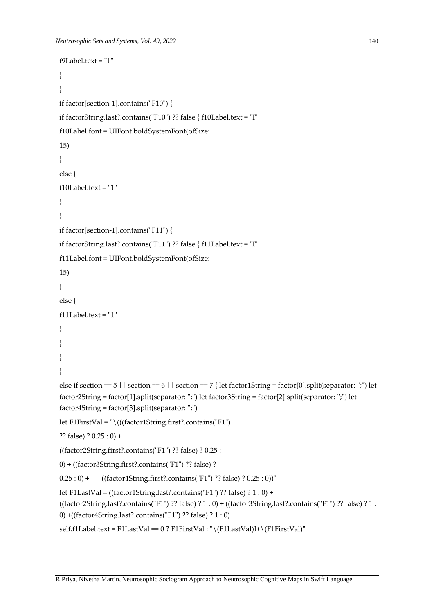```
f9Label.text = "1"
}
}
if factor[section-1].contains("F10") {
if factorString.last?.contains("F10") ?? false { f10Label.text = "I"
f10Label.font = UIFont.boldSystemFont(ofSize:
15)
}
else {
f10Label.text = "1"
} 
}
if factor[section-1].contains("F11") {
if factorString.last?.contains("F11") ?? false { f11Label.text = "I"
f11Label.font = UIFont.boldSystemFont(ofSize:
15)
}
else {
f11Label.text = "1"
}
}
}
}
else if section == 5 || section == 6 || section == 7 { let factor1String = factor[0].split(separator: ";") let 
factor2String = factor[1].split(separator: ";") let factor3String = factor[2].split(separator: ";") let 
factor4String = factor[3].split(separator: ";")
let F1FirstVal = "\(((factor1String.first?.contains("F1")
?? false) ? 0.25 : 0) +
((factor2String.first?.contains("F1") ?? false) ? 0.25 :
0) + ((factor3String.first?.contains("F1") ?? false) ?
0.25 : 0) + ((factor4String.first?.contains("F1") ?? false) ? 0.25 : 0))"
let F1LastVal = ((factor1String.last?.contains("F1") ?? false) ? 1 : 0) + 
((factor2String.last?.contains("F1") ?? false) ? 1 : 0) + ((factor3String.last?.contains("F1") ?? false) ? 1 : 
0) +((factor4String.last?.contains("F1") ?? false) ? 1 : 0)
self.f1Label.text = F1LastVal == 0 ? F1FirstVal : "\(F1LastVal)I+\(F1FirstVal)"
```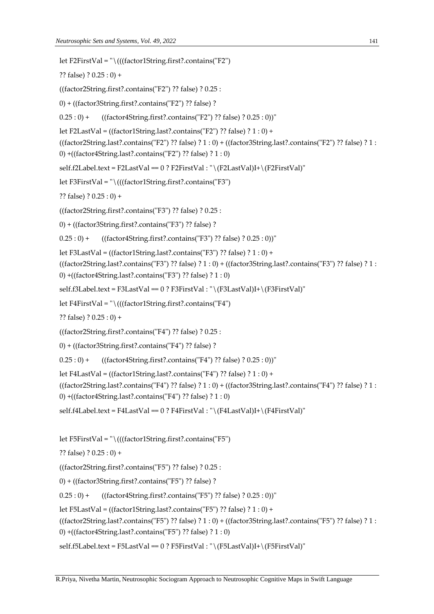let F2FirstVal = "\(((factor1String.first?.contains("F2") ?? false) ? 0.25 : 0) + ((factor2String.first?.contains("F2") ?? false) ? 0.25 : 0) + ((factor3String.first?.contains("F2") ?? false) ? 0.25 : 0) + ((factor4String.first?.contains("F2") ?? false) ? 0.25 : 0))" let F2LastVal = ((factor1String.last?.contains("F2") ?? false) ? 1 : 0) +  $((factor 2String last? contains('F2") ?? false) ? 1 : 0) + ((factor 3String last? contains('F2") ?? false) ? 1 : 0)$ 0) +((factor4String.last?.contains("F2") ?? false) ? 1 : 0) self.f2Label.text = F2LastVal == 0 ? F2FirstVal : "\(F2LastVal)I+\(F2FirstVal)" let F3FirstVal = "\(((factor1String.first?.contains("F3") ?? false) ? 0.25 : 0) + ((factor2String.first?.contains("F3") ?? false) ? 0.25 : 0) + ((factor3String.first?.contains("F3") ?? false) ?  $(0.25:0)$  +  $((factor 4String-first? contains("F3") ?? false) ? 0.25:0))"$ let F3LastVal = ((factor1String.last?.contains("F3") ?? false) ? 1 : 0) + ((factor2String.last?.contains("F3") ?? false) ? 1 : 0) + ((factor3String.last?.contains("F3") ?? false) ? 1 : 0) +((factor4String.last?.contains("F3") ?? false) ? 1 : 0) self.f3Label.text = F3LastVal == 0 ? F3FirstVal : "\(F3LastVal)I+\(F3FirstVal)" let F4FirstVal = "\(((factor1String.first?.contains("F4") ?? false) ? 0.25 : 0) +  $((factor 2String.first? contains('F4") ?? false) ? 0.25:$ 0) + ((factor3String.first?.contains("F4") ?? false) ?  $(0.25:0)$  +  $((factor 4String first? contains("F4") ?? false) ? 0.25:0))"$ let F4LastVal = ((factor1String.last?.contains("F4") ?? false) ? 1 : 0) + ((factor2String.last?.contains("F4") ?? false) ? 1 : 0) + ((factor3String.last?.contains("F4") ?? false) ? 1 : 0) +((factor4String.last?.contains("F4") ?? false) ? 1 : 0) self.f4Label.text = F4LastVal == 0 ? F4FirstVal : "\(F4LastVal)I+\(F4FirstVal)" let F5FirstVal = "\(((factor1String.first?.contains("F5") ?? false) ? 0.25 : 0) + ((factor2String.first?.contains("F5") ?? false) ? 0.25 : 0) + ((factor3String.first?.contains("F5") ?? false) ? 0.25 : 0) + ((factor4String.first?.contains("F5") ?? false) ? 0.25 : 0))" let F5LastVal =  $((factor1String-last?contains('F5'')?)$ ? false $) ? 1 : 0) +$ 

((factor2String.last?.contains("F5") ?? false) ? 1 : 0) + ((factor3String.last?.contains("F5") ?? false) ? 1 :

0) +((factor4String.last?.contains("F5") ?? false) ? 1 : 0)

 $self.f5Label.text = F5LastVal == 0$ ?  $F5FirstVal : "\(F5LastVal)I + \(F5FirstVal)"$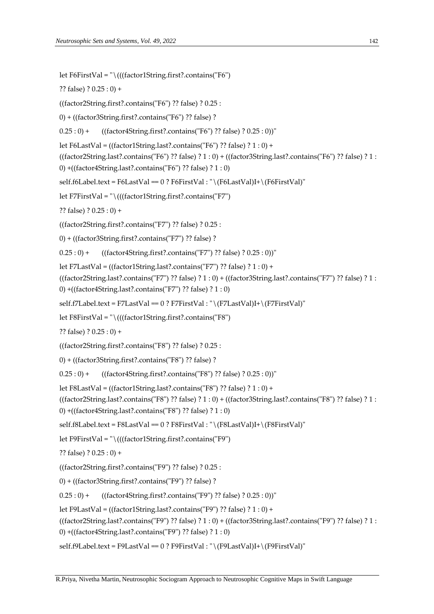let F6FirstVal = "\(((factor1String.first?.contains("F6")

?? false) ? 0.25 : 0) +

((factor2String.first?.contains("F6") ?? false) ? 0.25 :

0) + ((factor3String.first?.contains("F6") ?? false) ?

 $(0.25:0)$  +  $((factor 4String.first? contains('F6") ?? false) ? 0.25:0))''$ 

let F6LastVal = ((factor1String.last?.contains("F6") ?? false) ? 1 : 0) +

((factor2String.last?.contains("F6") ?? false) ? 1 : 0) + ((factor3String.last?.contains("F6") ?? false) ? 1 :

0) +((factor4String.last?.contains("F6") ?? false) ? 1 : 0)

 $self.f6Label.text = F6LastVal == 0 ? F6FirstVal : "\(F6LastVal)I+\(F6FirstVal)"$ 

let F7FirstVal = "\(((factor1String.first?.contains("F7")

?? false) ? 0.25 : 0) +

((factor2String.first?.contains("F7") ?? false) ? 0.25 :

0) + ((factor3String.first?.contains("F7") ?? false) ?

0.25 : 0) + ((factor4String.first?.contains("F7") ?? false) ? 0.25 : 0))"

let F7LastVal = ((factor1String.last?.contains("F7") ?? false) ? 1 : 0) +

((factor2String.last?.contains("F7") ?? false) ? 1 : 0) + ((factor3String.last?.contains("F7") ?? false) ? 1 :

0) +((factor4String.last?.contains("F7") ?? false) ? 1 : 0)

 $self.f7Label.text = F7LastVal == 0 ? F7FirstVal : "\(F7LastVal] + \(F7FirstVal)"$ 

let F8FirstVal = "\(((factor1String.first?.contains("F8")

?? false) ? 0.25 : 0) +

((factor2String.first?.contains("F8") ?? false) ? 0.25 :

```
0) + ((factor3String.first?.contains("F8") ?? false) ?
```
0.25 : 0) + ((factor4String.first?.contains("F8") ?? false) ? 0.25 : 0))"

let F8LastVal = ((factor1String.last?.contains("F8") ?? false) ? 1 : 0) +

((factor2String.last?.contains("F8") ?? false) ? 1 : 0) + ((factor3String.last?.contains("F8") ?? false) ? 1 :

0) +((factor4String.last?.contains("F8") ?? false) ? 1 : 0)

self.f8Label.text = F8LastVal == 0 ? F8FirstVal : "\(F8LastVal)I+\(F8FirstVal)"

let F9FirstVal = "\(((factor1String.first?.contains("F9")

```
?? false) ? 0.25 : 0) +
```
((factor2String.first?.contains("F9") ?? false) ? 0.25 :

0) + ((factor3String.first?.contains("F9") ?? false) ?

0.25 : 0) + ((factor4String.first?.contains("F9") ?? false) ? 0.25 : 0))"

let F9LastVal =  $((factor1String-last?contains('F9") ?? false) ? 1 : 0) +$ 

((factor2String.last?.contains("F9") ?? false) ? 1 : 0) + ((factor3String.last?.contains("F9") ?? false) ? 1 :

0) +((factor4String.last?.contains("F9") ?? false) ? 1 : 0)

 $self.f9Label.text = F9LastVal == 0 ? F9FirstVal : "\(F9LastVal)I + \(F9FirstVal)"$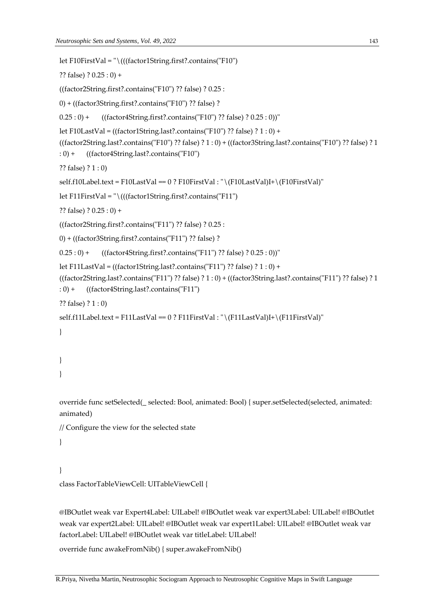```
let F10FirstVal = "\(((factor1String.first?.contains("F10")
?? false) ? 0.25 : 0) +
((factor 2String.first?.\text{contains('F10'') ?? false}) ? 0.25:0) + ((factor3String.first?.contains("F10") ?? false) ?
0.25 : 0) + ((factor4String.first?.contains("F10") ?? false) ? 0.25 : 0))"
let F10LastVal = ((factor1String.last?.contains("F10") ?? false) ? 1 : 0) + 
((factor2String.last?.contains("F10") ?? false) ? 1 : 0) + ((factor3String.last?.contains("F10") ?? false) ? 1 
: 0) + ((factor4String.last?.contains("F10")
?? false) ? 1 : 0)
self.f10Label.text = F10LastVal = 0 ? F10FirstVal : "\(F10LastVal)I+\(F10FirstVal)"let F11FirstVal = "\langle ((factor1String-first?contains("F11")?? false) ? 0.25 : 0) +
((factor2String.first?.contains("F11") ?? false) ? 0.25 :
0) + ((factor3String.first?.contains("F11") ?? false) ?
0.25 : 0) + ((factor4String.first?.contains("F11") ?? false) ? 0.25 : 0))"
let F11LastVal = ((factor1String.last?.contains("F11") ?? false) ? 1 : 0) + 
((factor2String.last?.contains("F11") ?? false) ? 1 : 0) + ((factor3String.last?.contains("F11") ?? false) ? 1 
: 0) + ((factor4String.last?.contains("F11")
?? false) ? 1 : 0)
self.f11Label.text = F11LastVal == 0 ? F11FirstVal : "\(F11LastVal)I+\(F11FirstVal)"}
}
}
override func setSelected(_ selected: Bool, animated: Bool) { super.setSelected(selected, animated: 
animated)
// Configure the view for the selected state
}
```

```
}
```
class FactorTableViewCell: UITableViewCell {

@IBOutlet weak var Expert4Label: UILabel! @IBOutlet weak var expert3Label: UILabel! @IBOutlet weak var expert2Label: UILabel! @IBOutlet weak var expert1Label: UILabel! @IBOutlet weak var factorLabel: UILabel! @IBOutlet weak var titleLabel: UILabel!

override func awakeFromNib() { super.awakeFromNib()